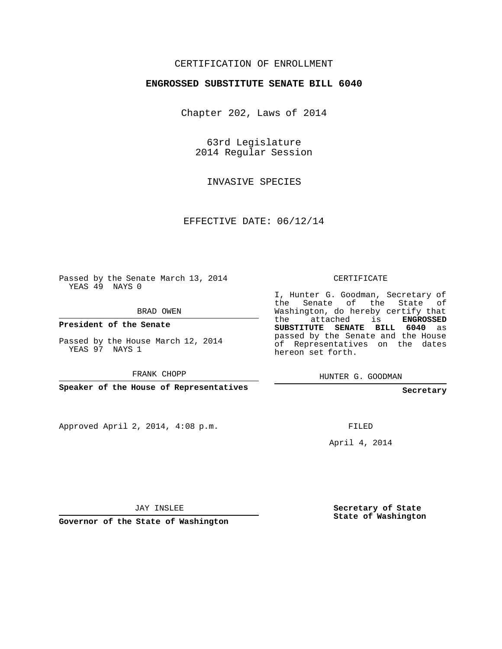### CERTIFICATION OF ENROLLMENT

#### **ENGROSSED SUBSTITUTE SENATE BILL 6040**

Chapter 202, Laws of 2014

63rd Legislature 2014 Regular Session

INVASIVE SPECIES

EFFECTIVE DATE: 06/12/14

Passed by the Senate March 13, 2014 YEAS 49 NAYS 0

BRAD OWEN

**President of the Senate**

Passed by the House March 12, 2014 YEAS 97 NAYS 1

FRANK CHOPP

**Speaker of the House of Representatives**

Approved April 2, 2014, 4:08 p.m.

CERTIFICATE

I, Hunter G. Goodman, Secretary of the Senate of the State of Washington, do hereby certify that the attached is **ENGROSSED SUBSTITUTE SENATE BILL 6040** as passed by the Senate and the House of Representatives on the dates hereon set forth.

HUNTER G. GOODMAN

**Secretary**

FILED

April 4, 2014

JAY INSLEE

**Governor of the State of Washington**

**Secretary of State State of Washington**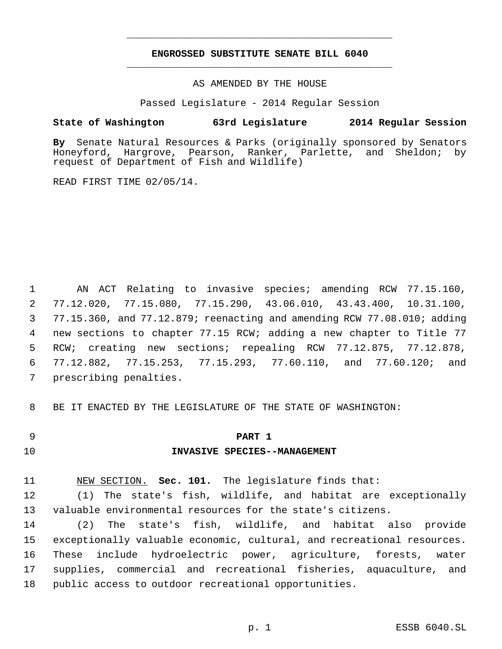## **ENGROSSED SUBSTITUTE SENATE BILL 6040** \_\_\_\_\_\_\_\_\_\_\_\_\_\_\_\_\_\_\_\_\_\_\_\_\_\_\_\_\_\_\_\_\_\_\_\_\_\_\_\_\_\_\_\_\_

\_\_\_\_\_\_\_\_\_\_\_\_\_\_\_\_\_\_\_\_\_\_\_\_\_\_\_\_\_\_\_\_\_\_\_\_\_\_\_\_\_\_\_\_\_

AS AMENDED BY THE HOUSE

Passed Legislature - 2014 Regular Session

#### **State of Washington 63rd Legislature 2014 Regular Session**

**By** Senate Natural Resources & Parks (originally sponsored by Senators Honeyford, Hargrove, Pearson, Ranker, Parlette, and Sheldon; request of Department of Fish and Wildlife)

READ FIRST TIME 02/05/14.

 AN ACT Relating to invasive species; amending RCW 77.15.160, 77.12.020, 77.15.080, 77.15.290, 43.06.010, 43.43.400, 10.31.100, 77.15.360, and 77.12.879; reenacting and amending RCW 77.08.010; adding new sections to chapter 77.15 RCW; adding a new chapter to Title 77 RCW; creating new sections; repealing RCW 77.12.875, 77.12.878, 77.12.882, 77.15.253, 77.15.293, 77.60.110, and 77.60.120; and prescribing penalties.

BE IT ENACTED BY THE LEGISLATURE OF THE STATE OF WASHINGTON:

## **PART 1**

## **INVASIVE SPECIES--MANAGEMENT**

NEW SECTION. **Sec. 101.** The legislature finds that:

 (1) The state's fish, wildlife, and habitat are exceptionally valuable environmental resources for the state's citizens.

 (2) The state's fish, wildlife, and habitat also provide exceptionally valuable economic, cultural, and recreational resources. These include hydroelectric power, agriculture, forests, water supplies, commercial and recreational fisheries, aquaculture, and public access to outdoor recreational opportunities.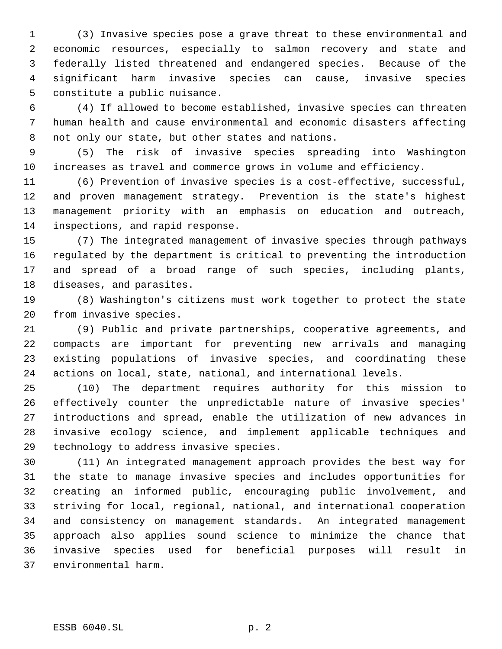(3) Invasive species pose a grave threat to these environmental and economic resources, especially to salmon recovery and state and federally listed threatened and endangered species. Because of the significant harm invasive species can cause, invasive species constitute a public nuisance.

 (4) If allowed to become established, invasive species can threaten human health and cause environmental and economic disasters affecting not only our state, but other states and nations.

 (5) The risk of invasive species spreading into Washington increases as travel and commerce grows in volume and efficiency.

 (6) Prevention of invasive species is a cost-effective, successful, and proven management strategy. Prevention is the state's highest management priority with an emphasis on education and outreach, inspections, and rapid response.

 (7) The integrated management of invasive species through pathways regulated by the department is critical to preventing the introduction and spread of a broad range of such species, including plants, diseases, and parasites.

 (8) Washington's citizens must work together to protect the state from invasive species.

 (9) Public and private partnerships, cooperative agreements, and compacts are important for preventing new arrivals and managing existing populations of invasive species, and coordinating these actions on local, state, national, and international levels.

 (10) The department requires authority for this mission to effectively counter the unpredictable nature of invasive species' introductions and spread, enable the utilization of new advances in invasive ecology science, and implement applicable techniques and technology to address invasive species.

 (11) An integrated management approach provides the best way for the state to manage invasive species and includes opportunities for creating an informed public, encouraging public involvement, and striving for local, regional, national, and international cooperation and consistency on management standards. An integrated management approach also applies sound science to minimize the chance that invasive species used for beneficial purposes will result in environmental harm.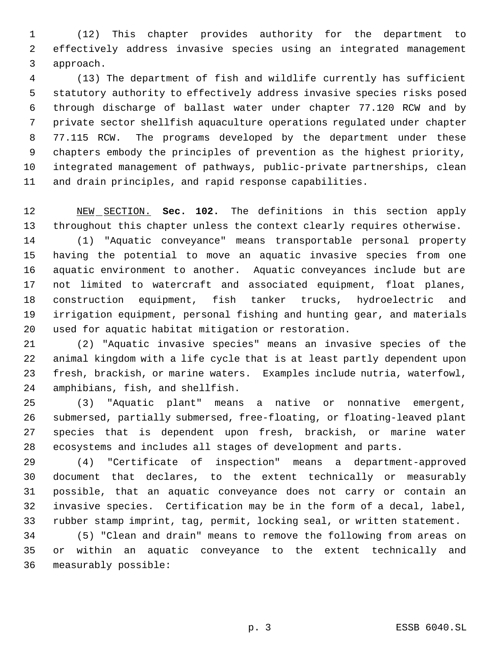(12) This chapter provides authority for the department to effectively address invasive species using an integrated management approach.

 (13) The department of fish and wildlife currently has sufficient statutory authority to effectively address invasive species risks posed through discharge of ballast water under chapter 77.120 RCW and by private sector shellfish aquaculture operations regulated under chapter 77.115 RCW. The programs developed by the department under these chapters embody the principles of prevention as the highest priority, integrated management of pathways, public-private partnerships, clean and drain principles, and rapid response capabilities.

 NEW SECTION. **Sec. 102.** The definitions in this section apply throughout this chapter unless the context clearly requires otherwise.

 (1) "Aquatic conveyance" means transportable personal property having the potential to move an aquatic invasive species from one aquatic environment to another. Aquatic conveyances include but are not limited to watercraft and associated equipment, float planes, construction equipment, fish tanker trucks, hydroelectric and irrigation equipment, personal fishing and hunting gear, and materials used for aquatic habitat mitigation or restoration.

 (2) "Aquatic invasive species" means an invasive species of the animal kingdom with a life cycle that is at least partly dependent upon fresh, brackish, or marine waters. Examples include nutria, waterfowl, amphibians, fish, and shellfish.

 (3) "Aquatic plant" means a native or nonnative emergent, submersed, partially submersed, free-floating, or floating-leaved plant species that is dependent upon fresh, brackish, or marine water ecosystems and includes all stages of development and parts.

 (4) "Certificate of inspection" means a department-approved document that declares, to the extent technically or measurably possible, that an aquatic conveyance does not carry or contain an invasive species. Certification may be in the form of a decal, label, rubber stamp imprint, tag, permit, locking seal, or written statement.

 (5) "Clean and drain" means to remove the following from areas on or within an aquatic conveyance to the extent technically and measurably possible: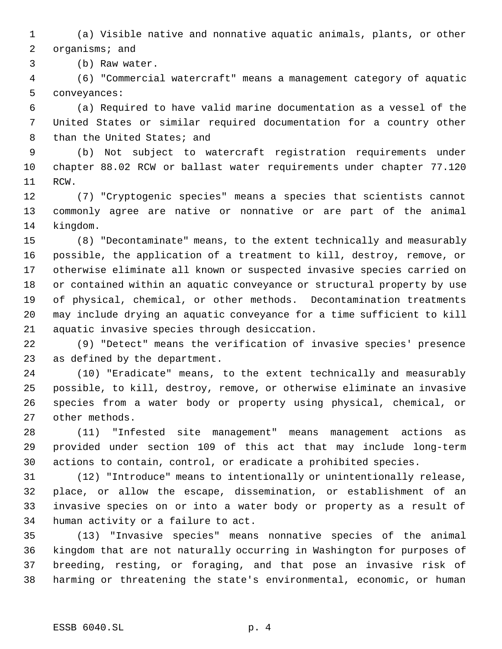(a) Visible native and nonnative aquatic animals, plants, or other organisms; and

(b) Raw water.

 (6) "Commercial watercraft" means a management category of aquatic conveyances:

 (a) Required to have valid marine documentation as a vessel of the United States or similar required documentation for a country other 8 than the United States; and

 (b) Not subject to watercraft registration requirements under chapter 88.02 RCW or ballast water requirements under chapter 77.120 RCW.

 (7) "Cryptogenic species" means a species that scientists cannot commonly agree are native or nonnative or are part of the animal kingdom.

 (8) "Decontaminate" means, to the extent technically and measurably possible, the application of a treatment to kill, destroy, remove, or otherwise eliminate all known or suspected invasive species carried on or contained within an aquatic conveyance or structural property by use of physical, chemical, or other methods. Decontamination treatments may include drying an aquatic conveyance for a time sufficient to kill aquatic invasive species through desiccation.

 (9) "Detect" means the verification of invasive species' presence as defined by the department.

 (10) "Eradicate" means, to the extent technically and measurably possible, to kill, destroy, remove, or otherwise eliminate an invasive species from a water body or property using physical, chemical, or other methods.

 (11) "Infested site management" means management actions as provided under section 109 of this act that may include long-term actions to contain, control, or eradicate a prohibited species.

 (12) "Introduce" means to intentionally or unintentionally release, place, or allow the escape, dissemination, or establishment of an invasive species on or into a water body or property as a result of human activity or a failure to act.

 (13) "Invasive species" means nonnative species of the animal kingdom that are not naturally occurring in Washington for purposes of breeding, resting, or foraging, and that pose an invasive risk of harming or threatening the state's environmental, economic, or human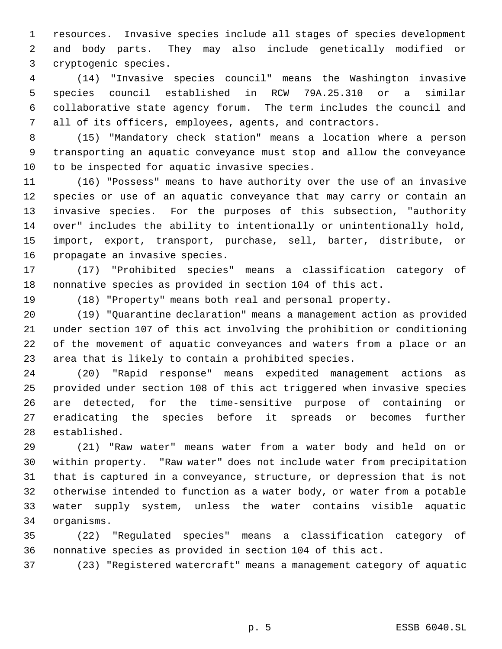resources. Invasive species include all stages of species development and body parts. They may also include genetically modified or cryptogenic species.

 (14) "Invasive species council" means the Washington invasive species council established in RCW 79A.25.310 or a similar collaborative state agency forum. The term includes the council and all of its officers, employees, agents, and contractors.

 (15) "Mandatory check station" means a location where a person transporting an aquatic conveyance must stop and allow the conveyance to be inspected for aquatic invasive species.

 (16) "Possess" means to have authority over the use of an invasive species or use of an aquatic conveyance that may carry or contain an invasive species. For the purposes of this subsection, "authority over" includes the ability to intentionally or unintentionally hold, import, export, transport, purchase, sell, barter, distribute, or propagate an invasive species.

 (17) "Prohibited species" means a classification category of nonnative species as provided in section 104 of this act.

(18) "Property" means both real and personal property.

 (19) "Quarantine declaration" means a management action as provided under section 107 of this act involving the prohibition or conditioning of the movement of aquatic conveyances and waters from a place or an area that is likely to contain a prohibited species.

 (20) "Rapid response" means expedited management actions as provided under section 108 of this act triggered when invasive species are detected, for the time-sensitive purpose of containing or eradicating the species before it spreads or becomes further established.

 (21) "Raw water" means water from a water body and held on or within property. "Raw water" does not include water from precipitation that is captured in a conveyance, structure, or depression that is not otherwise intended to function as a water body, or water from a potable water supply system, unless the water contains visible aquatic organisms.

 (22) "Regulated species" means a classification category of nonnative species as provided in section 104 of this act.

(23) "Registered watercraft" means a management category of aquatic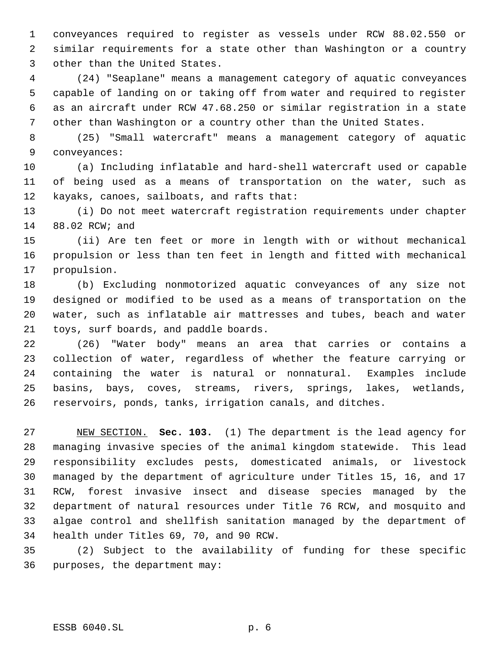conveyances required to register as vessels under RCW 88.02.550 or similar requirements for a state other than Washington or a country other than the United States.

 (24) "Seaplane" means a management category of aquatic conveyances capable of landing on or taking off from water and required to register as an aircraft under RCW 47.68.250 or similar registration in a state other than Washington or a country other than the United States.

 (25) "Small watercraft" means a management category of aquatic conveyances:

 (a) Including inflatable and hard-shell watercraft used or capable of being used as a means of transportation on the water, such as kayaks, canoes, sailboats, and rafts that:

 (i) Do not meet watercraft registration requirements under chapter 88.02 RCW; and

 (ii) Are ten feet or more in length with or without mechanical propulsion or less than ten feet in length and fitted with mechanical propulsion.

 (b) Excluding nonmotorized aquatic conveyances of any size not designed or modified to be used as a means of transportation on the water, such as inflatable air mattresses and tubes, beach and water toys, surf boards, and paddle boards.

 (26) "Water body" means an area that carries or contains a collection of water, regardless of whether the feature carrying or containing the water is natural or nonnatural. Examples include basins, bays, coves, streams, rivers, springs, lakes, wetlands, reservoirs, ponds, tanks, irrigation canals, and ditches.

 NEW SECTION. **Sec. 103.** (1) The department is the lead agency for managing invasive species of the animal kingdom statewide. This lead responsibility excludes pests, domesticated animals, or livestock managed by the department of agriculture under Titles 15, 16, and 17 RCW, forest invasive insect and disease species managed by the department of natural resources under Title 76 RCW, and mosquito and algae control and shellfish sanitation managed by the department of health under Titles 69, 70, and 90 RCW.

 (2) Subject to the availability of funding for these specific purposes, the department may: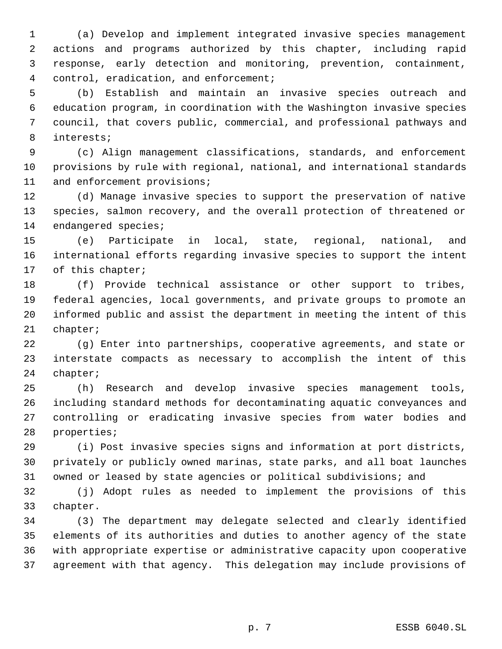(a) Develop and implement integrated invasive species management actions and programs authorized by this chapter, including rapid response, early detection and monitoring, prevention, containment, control, eradication, and enforcement;

 (b) Establish and maintain an invasive species outreach and education program, in coordination with the Washington invasive species council, that covers public, commercial, and professional pathways and interests;

 (c) Align management classifications, standards, and enforcement provisions by rule with regional, national, and international standards and enforcement provisions;

 (d) Manage invasive species to support the preservation of native species, salmon recovery, and the overall protection of threatened or endangered species;

 (e) Participate in local, state, regional, national, and international efforts regarding invasive species to support the intent of this chapter;

 (f) Provide technical assistance or other support to tribes, federal agencies, local governments, and private groups to promote an informed public and assist the department in meeting the intent of this chapter;

 (g) Enter into partnerships, cooperative agreements, and state or interstate compacts as necessary to accomplish the intent of this chapter;

 (h) Research and develop invasive species management tools, including standard methods for decontaminating aquatic conveyances and controlling or eradicating invasive species from water bodies and properties;

 (i) Post invasive species signs and information at port districts, privately or publicly owned marinas, state parks, and all boat launches owned or leased by state agencies or political subdivisions; and

 (j) Adopt rules as needed to implement the provisions of this chapter.

 (3) The department may delegate selected and clearly identified elements of its authorities and duties to another agency of the state with appropriate expertise or administrative capacity upon cooperative agreement with that agency. This delegation may include provisions of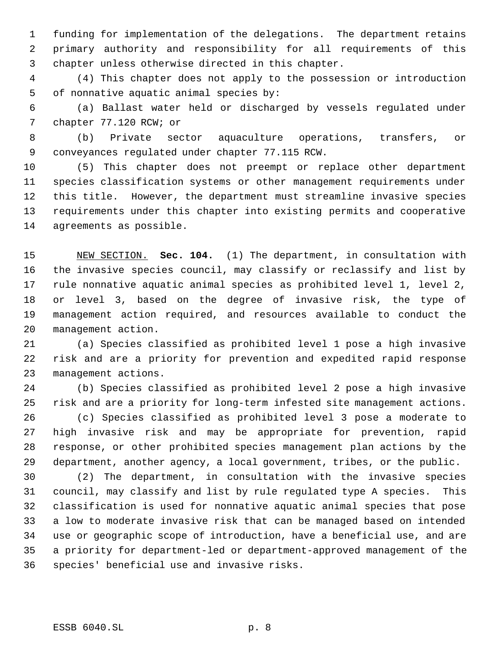funding for implementation of the delegations. The department retains primary authority and responsibility for all requirements of this chapter unless otherwise directed in this chapter.

 (4) This chapter does not apply to the possession or introduction of nonnative aquatic animal species by:

 (a) Ballast water held or discharged by vessels regulated under chapter 77.120 RCW; or

 (b) Private sector aquaculture operations, transfers, or conveyances regulated under chapter 77.115 RCW.

 (5) This chapter does not preempt or replace other department species classification systems or other management requirements under this title. However, the department must streamline invasive species requirements under this chapter into existing permits and cooperative agreements as possible.

 NEW SECTION. **Sec. 104.** (1) The department, in consultation with the invasive species council, may classify or reclassify and list by rule nonnative aquatic animal species as prohibited level 1, level 2, or level 3, based on the degree of invasive risk, the type of management action required, and resources available to conduct the management action.

 (a) Species classified as prohibited level 1 pose a high invasive risk and are a priority for prevention and expedited rapid response management actions.

 (b) Species classified as prohibited level 2 pose a high invasive risk and are a priority for long-term infested site management actions. (c) Species classified as prohibited level 3 pose a moderate to

 high invasive risk and may be appropriate for prevention, rapid response, or other prohibited species management plan actions by the department, another agency, a local government, tribes, or the public.

 (2) The department, in consultation with the invasive species council, may classify and list by rule regulated type A species. This classification is used for nonnative aquatic animal species that pose a low to moderate invasive risk that can be managed based on intended use or geographic scope of introduction, have a beneficial use, and are a priority for department-led or department-approved management of the species' beneficial use and invasive risks.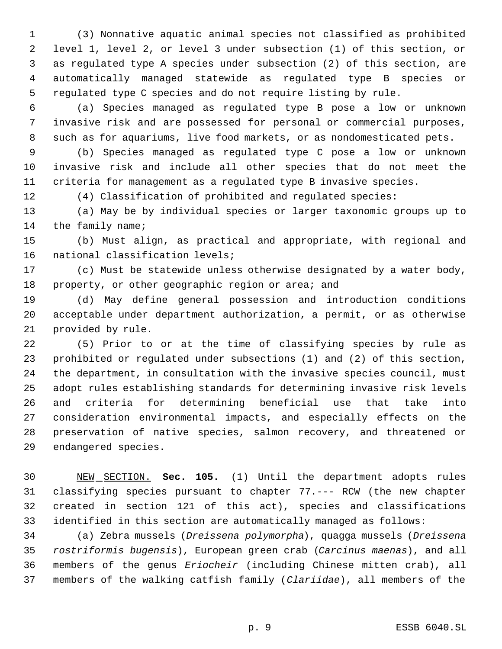(3) Nonnative aquatic animal species not classified as prohibited level 1, level 2, or level 3 under subsection (1) of this section, or as regulated type A species under subsection (2) of this section, are automatically managed statewide as regulated type B species or regulated type C species and do not require listing by rule.

 (a) Species managed as regulated type B pose a low or unknown invasive risk and are possessed for personal or commercial purposes, such as for aquariums, live food markets, or as nondomesticated pets.

 (b) Species managed as regulated type C pose a low or unknown invasive risk and include all other species that do not meet the criteria for management as a regulated type B invasive species.

(4) Classification of prohibited and regulated species:

 (a) May be by individual species or larger taxonomic groups up to 14 the family name;

 (b) Must align, as practical and appropriate, with regional and national classification levels;

 (c) Must be statewide unless otherwise designated by a water body, 18 property, or other geographic region or area; and

 (d) May define general possession and introduction conditions acceptable under department authorization, a permit, or as otherwise provided by rule.

 (5) Prior to or at the time of classifying species by rule as prohibited or regulated under subsections (1) and (2) of this section, the department, in consultation with the invasive species council, must adopt rules establishing standards for determining invasive risk levels and criteria for determining beneficial use that take into consideration environmental impacts, and especially effects on the preservation of native species, salmon recovery, and threatened or endangered species.

 NEW SECTION. **Sec. 105.** (1) Until the department adopts rules classifying species pursuant to chapter 77.--- RCW (the new chapter created in section 121 of this act), species and classifications identified in this section are automatically managed as follows:

 (a) Zebra mussels (*Dreissena polymorpha*), quagga mussels (*Dreissena rostriformis bugensis*), European green crab (*Carcinus maenas*), and all members of the genus *Eriocheir* (including Chinese mitten crab), all members of the walking catfish family (*Clariidae*), all members of the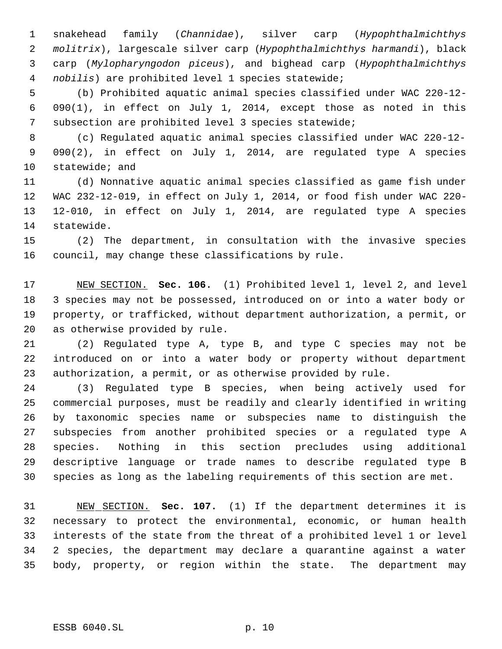snakehead family (*Channidae*), silver carp (*Hypophthalmichthys molitrix*), largescale silver carp (*Hypophthalmichthys harmandi*), black carp (*Mylopharyngodon piceus*), and bighead carp (*Hypophthalmichthys nobilis*) are prohibited level 1 species statewide;

 (b) Prohibited aquatic animal species classified under WAC 220-12- 090(1), in effect on July 1, 2014, except those as noted in this subsection are prohibited level 3 species statewide;

 (c) Regulated aquatic animal species classified under WAC 220-12- 090(2), in effect on July 1, 2014, are regulated type A species statewide; and

 (d) Nonnative aquatic animal species classified as game fish under WAC 232-12-019, in effect on July 1, 2014, or food fish under WAC 220- 12-010, in effect on July 1, 2014, are regulated type A species statewide.

 (2) The department, in consultation with the invasive species council, may change these classifications by rule.

 NEW SECTION. **Sec. 106.** (1) Prohibited level 1, level 2, and level 3 species may not be possessed, introduced on or into a water body or property, or trafficked, without department authorization, a permit, or as otherwise provided by rule.

 (2) Regulated type A, type B, and type C species may not be introduced on or into a water body or property without department authorization, a permit, or as otherwise provided by rule.

 (3) Regulated type B species, when being actively used for commercial purposes, must be readily and clearly identified in writing by taxonomic species name or subspecies name to distinguish the subspecies from another prohibited species or a regulated type A species. Nothing in this section precludes using additional descriptive language or trade names to describe regulated type B species as long as the labeling requirements of this section are met.

 NEW SECTION. **Sec. 107.** (1) If the department determines it is necessary to protect the environmental, economic, or human health interests of the state from the threat of a prohibited level 1 or level 2 species, the department may declare a quarantine against a water body, property, or region within the state. The department may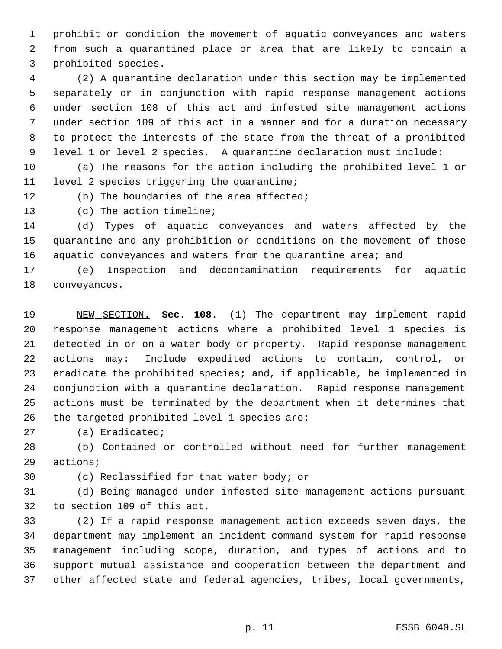prohibit or condition the movement of aquatic conveyances and waters from such a quarantined place or area that are likely to contain a prohibited species.

 (2) A quarantine declaration under this section may be implemented separately or in conjunction with rapid response management actions under section 108 of this act and infested site management actions under section 109 of this act in a manner and for a duration necessary to protect the interests of the state from the threat of a prohibited level 1 or level 2 species. A quarantine declaration must include:

 (a) The reasons for the action including the prohibited level 1 or level 2 species triggering the quarantine;

12 (b) The boundaries of the area affected;

(c) The action timeline;

 (d) Types of aquatic conveyances and waters affected by the quarantine and any prohibition or conditions on the movement of those 16 aquatic conveyances and waters from the quarantine area; and

 (e) Inspection and decontamination requirements for aquatic conveyances.

 NEW SECTION. **Sec. 108.** (1) The department may implement rapid response management actions where a prohibited level 1 species is detected in or on a water body or property. Rapid response management actions may: Include expedited actions to contain, control, or eradicate the prohibited species; and, if applicable, be implemented in conjunction with a quarantine declaration. Rapid response management actions must be terminated by the department when it determines that the targeted prohibited level 1 species are:

(a) Eradicated;

 (b) Contained or controlled without need for further management actions;

(c) Reclassified for that water body; or

 (d) Being managed under infested site management actions pursuant to section 109 of this act.

 (2) If a rapid response management action exceeds seven days, the department may implement an incident command system for rapid response management including scope, duration, and types of actions and to support mutual assistance and cooperation between the department and other affected state and federal agencies, tribes, local governments,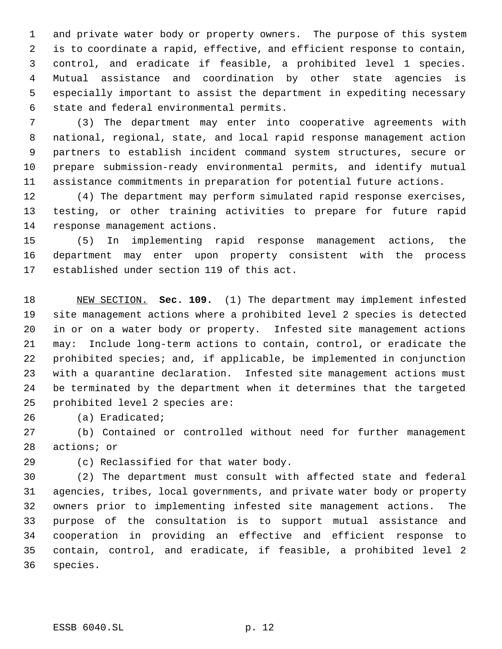and private water body or property owners. The purpose of this system is to coordinate a rapid, effective, and efficient response to contain, control, and eradicate if feasible, a prohibited level 1 species. Mutual assistance and coordination by other state agencies is especially important to assist the department in expediting necessary state and federal environmental permits.

 (3) The department may enter into cooperative agreements with national, regional, state, and local rapid response management action partners to establish incident command system structures, secure or prepare submission-ready environmental permits, and identify mutual assistance commitments in preparation for potential future actions.

 (4) The department may perform simulated rapid response exercises, testing, or other training activities to prepare for future rapid response management actions.

 (5) In implementing rapid response management actions, the department may enter upon property consistent with the process established under section 119 of this act.

 NEW SECTION. **Sec. 109.** (1) The department may implement infested site management actions where a prohibited level 2 species is detected in or on a water body or property. Infested site management actions may: Include long-term actions to contain, control, or eradicate the prohibited species; and, if applicable, be implemented in conjunction with a quarantine declaration. Infested site management actions must be terminated by the department when it determines that the targeted prohibited level 2 species are:

(a) Eradicated;

 (b) Contained or controlled without need for further management actions; or

(c) Reclassified for that water body.

 (2) The department must consult with affected state and federal agencies, tribes, local governments, and private water body or property owners prior to implementing infested site management actions. The purpose of the consultation is to support mutual assistance and cooperation in providing an effective and efficient response to contain, control, and eradicate, if feasible, a prohibited level 2 species.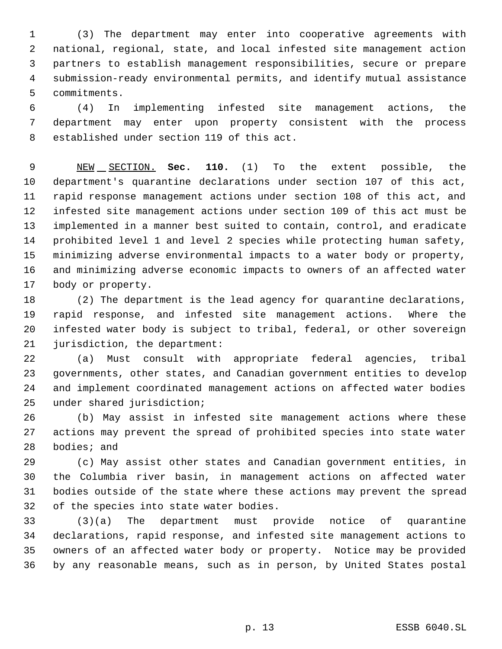(3) The department may enter into cooperative agreements with national, regional, state, and local infested site management action partners to establish management responsibilities, secure or prepare submission-ready environmental permits, and identify mutual assistance commitments.

 (4) In implementing infested site management actions, the department may enter upon property consistent with the process established under section 119 of this act.

 NEW SECTION. **Sec. 110.** (1) To the extent possible, the department's quarantine declarations under section 107 of this act, rapid response management actions under section 108 of this act, and infested site management actions under section 109 of this act must be implemented in a manner best suited to contain, control, and eradicate prohibited level 1 and level 2 species while protecting human safety, minimizing adverse environmental impacts to a water body or property, and minimizing adverse economic impacts to owners of an affected water body or property.

 (2) The department is the lead agency for quarantine declarations, rapid response, and infested site management actions. Where the infested water body is subject to tribal, federal, or other sovereign jurisdiction, the department:

 (a) Must consult with appropriate federal agencies, tribal governments, other states, and Canadian government entities to develop and implement coordinated management actions on affected water bodies under shared jurisdiction;

 (b) May assist in infested site management actions where these actions may prevent the spread of prohibited species into state water bodies; and

 (c) May assist other states and Canadian government entities, in the Columbia river basin, in management actions on affected water bodies outside of the state where these actions may prevent the spread of the species into state water bodies.

 (3)(a) The department must provide notice of quarantine declarations, rapid response, and infested site management actions to owners of an affected water body or property. Notice may be provided by any reasonable means, such as in person, by United States postal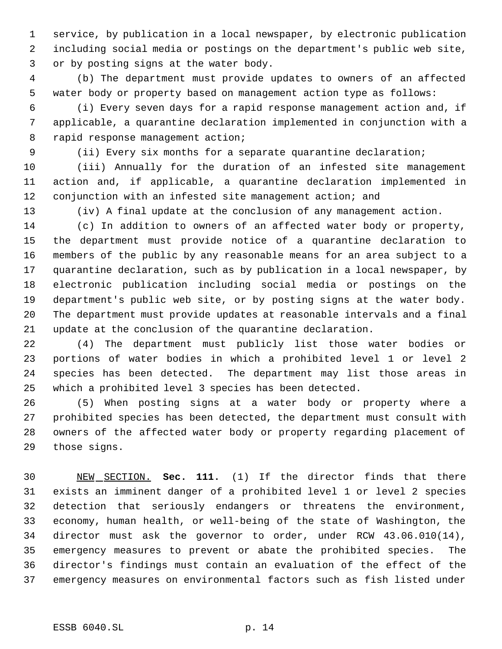service, by publication in a local newspaper, by electronic publication including social media or postings on the department's public web site, or by posting signs at the water body.

 (b) The department must provide updates to owners of an affected water body or property based on management action type as follows:

 (i) Every seven days for a rapid response management action and, if applicable, a quarantine declaration implemented in conjunction with a 8 rapid response management action;

(ii) Every six months for a separate quarantine declaration;

 (iii) Annually for the duration of an infested site management action and, if applicable, a quarantine declaration implemented in conjunction with an infested site management action; and

(iv) A final update at the conclusion of any management action.

 (c) In addition to owners of an affected water body or property, the department must provide notice of a quarantine declaration to members of the public by any reasonable means for an area subject to a quarantine declaration, such as by publication in a local newspaper, by electronic publication including social media or postings on the department's public web site, or by posting signs at the water body. The department must provide updates at reasonable intervals and a final update at the conclusion of the quarantine declaration.

 (4) The department must publicly list those water bodies or portions of water bodies in which a prohibited level 1 or level 2 species has been detected. The department may list those areas in which a prohibited level 3 species has been detected.

 (5) When posting signs at a water body or property where a prohibited species has been detected, the department must consult with owners of the affected water body or property regarding placement of those signs.

 NEW SECTION. **Sec. 111.** (1) If the director finds that there exists an imminent danger of a prohibited level 1 or level 2 species detection that seriously endangers or threatens the environment, economy, human health, or well-being of the state of Washington, the director must ask the governor to order, under RCW 43.06.010(14), emergency measures to prevent or abate the prohibited species. The director's findings must contain an evaluation of the effect of the emergency measures on environmental factors such as fish listed under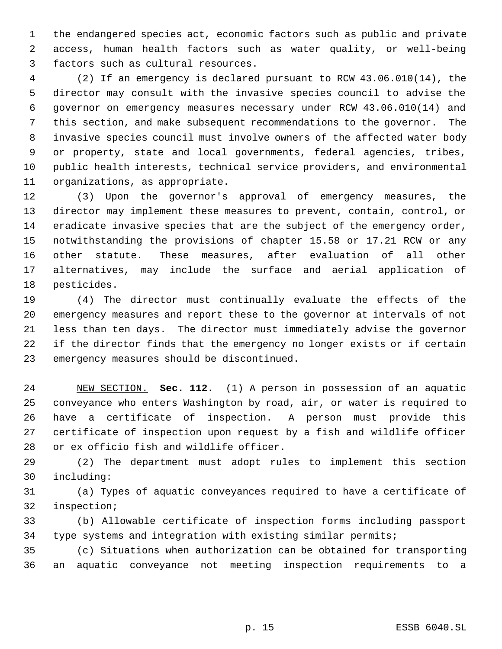the endangered species act, economic factors such as public and private access, human health factors such as water quality, or well-being factors such as cultural resources.

 (2) If an emergency is declared pursuant to RCW 43.06.010(14), the director may consult with the invasive species council to advise the governor on emergency measures necessary under RCW 43.06.010(14) and this section, and make subsequent recommendations to the governor. The invasive species council must involve owners of the affected water body or property, state and local governments, federal agencies, tribes, public health interests, technical service providers, and environmental organizations, as appropriate.

 (3) Upon the governor's approval of emergency measures, the director may implement these measures to prevent, contain, control, or eradicate invasive species that are the subject of the emergency order, notwithstanding the provisions of chapter 15.58 or 17.21 RCW or any other statute. These measures, after evaluation of all other alternatives, may include the surface and aerial application of pesticides.

 (4) The director must continually evaluate the effects of the emergency measures and report these to the governor at intervals of not less than ten days. The director must immediately advise the governor if the director finds that the emergency no longer exists or if certain emergency measures should be discontinued.

 NEW SECTION. **Sec. 112.** (1) A person in possession of an aquatic conveyance who enters Washington by road, air, or water is required to have a certificate of inspection. A person must provide this certificate of inspection upon request by a fish and wildlife officer or ex officio fish and wildlife officer.

 (2) The department must adopt rules to implement this section including:

 (a) Types of aquatic conveyances required to have a certificate of inspection;

 (b) Allowable certificate of inspection forms including passport type systems and integration with existing similar permits;

 (c) Situations when authorization can be obtained for transporting an aquatic conveyance not meeting inspection requirements to a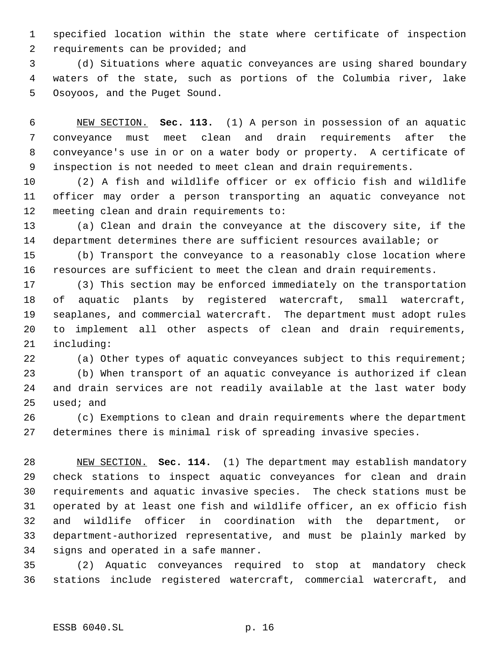specified location within the state where certificate of inspection 2 requirements can be provided; and

 (d) Situations where aquatic conveyances are using shared boundary waters of the state, such as portions of the Columbia river, lake Osoyoos, and the Puget Sound.

 NEW SECTION. **Sec. 113.** (1) A person in possession of an aquatic conveyance must meet clean and drain requirements after the conveyance's use in or on a water body or property. A certificate of inspection is not needed to meet clean and drain requirements.

 (2) A fish and wildlife officer or ex officio fish and wildlife officer may order a person transporting an aquatic conveyance not meeting clean and drain requirements to:

 (a) Clean and drain the conveyance at the discovery site, if the department determines there are sufficient resources available; or

 (b) Transport the conveyance to a reasonably close location where resources are sufficient to meet the clean and drain requirements.

 (3) This section may be enforced immediately on the transportation of aquatic plants by registered watercraft, small watercraft, seaplanes, and commercial watercraft. The department must adopt rules to implement all other aspects of clean and drain requirements, including:

 (a) Other types of aquatic conveyances subject to this requirement; (b) When transport of an aquatic conveyance is authorized if clean and drain services are not readily available at the last water body used; and

 (c) Exemptions to clean and drain requirements where the department determines there is minimal risk of spreading invasive species.

 NEW SECTION. **Sec. 114.** (1) The department may establish mandatory check stations to inspect aquatic conveyances for clean and drain requirements and aquatic invasive species. The check stations must be operated by at least one fish and wildlife officer, an ex officio fish and wildlife officer in coordination with the department, or department-authorized representative, and must be plainly marked by signs and operated in a safe manner.

 (2) Aquatic conveyances required to stop at mandatory check stations include registered watercraft, commercial watercraft, and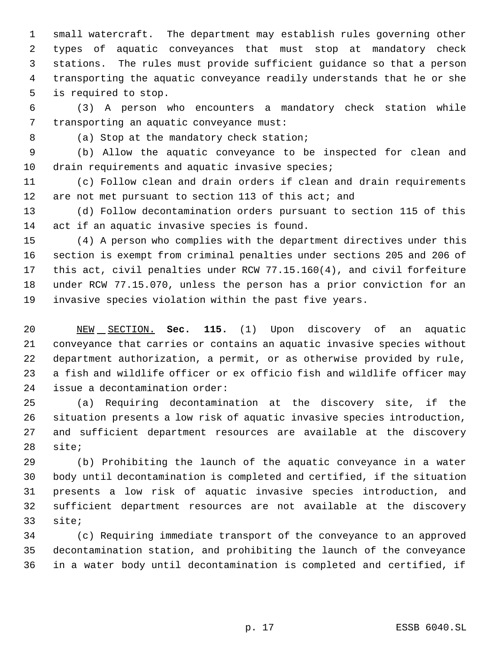small watercraft. The department may establish rules governing other types of aquatic conveyances that must stop at mandatory check stations. The rules must provide sufficient guidance so that a person transporting the aquatic conveyance readily understands that he or she is required to stop.

 (3) A person who encounters a mandatory check station while transporting an aquatic conveyance must:

8 (a) Stop at the mandatory check station;

 (b) Allow the aquatic conveyance to be inspected for clean and drain requirements and aquatic invasive species;

 (c) Follow clean and drain orders if clean and drain requirements 12 are not met pursuant to section 113 of this act; and

 (d) Follow decontamination orders pursuant to section 115 of this act if an aquatic invasive species is found.

 (4) A person who complies with the department directives under this section is exempt from criminal penalties under sections 205 and 206 of this act, civil penalties under RCW 77.15.160(4), and civil forfeiture under RCW 77.15.070, unless the person has a prior conviction for an invasive species violation within the past five years.

 NEW SECTION. **Sec. 115.** (1) Upon discovery of an aquatic conveyance that carries or contains an aquatic invasive species without department authorization, a permit, or as otherwise provided by rule, a fish and wildlife officer or ex officio fish and wildlife officer may issue a decontamination order:

 (a) Requiring decontamination at the discovery site, if the situation presents a low risk of aquatic invasive species introduction, and sufficient department resources are available at the discovery site;

 (b) Prohibiting the launch of the aquatic conveyance in a water body until decontamination is completed and certified, if the situation presents a low risk of aquatic invasive species introduction, and sufficient department resources are not available at the discovery site;

 (c) Requiring immediate transport of the conveyance to an approved decontamination station, and prohibiting the launch of the conveyance in a water body until decontamination is completed and certified, if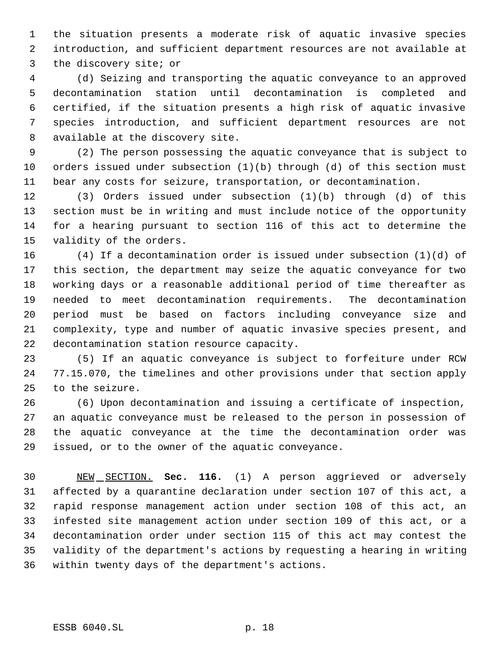the situation presents a moderate risk of aquatic invasive species introduction, and sufficient department resources are not available at the discovery site; or

 (d) Seizing and transporting the aquatic conveyance to an approved decontamination station until decontamination is completed and certified, if the situation presents a high risk of aquatic invasive species introduction, and sufficient department resources are not available at the discovery site.

 (2) The person possessing the aquatic conveyance that is subject to orders issued under subsection (1)(b) through (d) of this section must bear any costs for seizure, transportation, or decontamination.

 (3) Orders issued under subsection (1)(b) through (d) of this section must be in writing and must include notice of the opportunity for a hearing pursuant to section 116 of this act to determine the validity of the orders.

 (4) If a decontamination order is issued under subsection (1)(d) of this section, the department may seize the aquatic conveyance for two working days or a reasonable additional period of time thereafter as needed to meet decontamination requirements. The decontamination period must be based on factors including conveyance size and complexity, type and number of aquatic invasive species present, and decontamination station resource capacity.

 (5) If an aquatic conveyance is subject to forfeiture under RCW 77.15.070, the timelines and other provisions under that section apply to the seizure.

 (6) Upon decontamination and issuing a certificate of inspection, an aquatic conveyance must be released to the person in possession of the aquatic conveyance at the time the decontamination order was issued, or to the owner of the aquatic conveyance.

 NEW SECTION. **Sec. 116.** (1) A person aggrieved or adversely affected by a quarantine declaration under section 107 of this act, a rapid response management action under section 108 of this act, an infested site management action under section 109 of this act, or a decontamination order under section 115 of this act may contest the validity of the department's actions by requesting a hearing in writing within twenty days of the department's actions.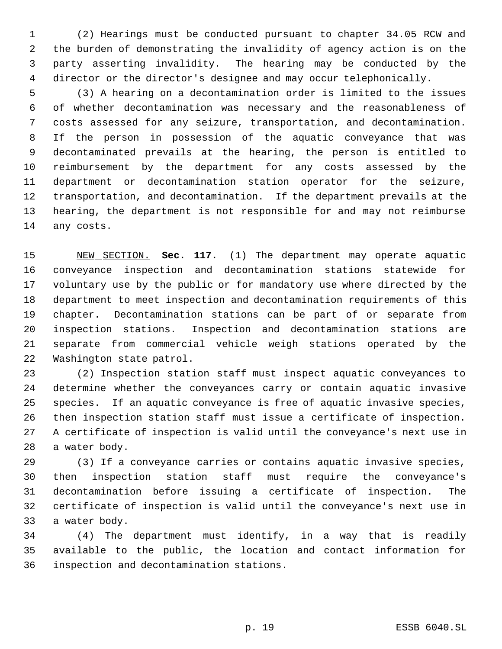(2) Hearings must be conducted pursuant to chapter 34.05 RCW and the burden of demonstrating the invalidity of agency action is on the party asserting invalidity. The hearing may be conducted by the director or the director's designee and may occur telephonically.

 (3) A hearing on a decontamination order is limited to the issues of whether decontamination was necessary and the reasonableness of costs assessed for any seizure, transportation, and decontamination. If the person in possession of the aquatic conveyance that was decontaminated prevails at the hearing, the person is entitled to reimbursement by the department for any costs assessed by the department or decontamination station operator for the seizure, transportation, and decontamination. If the department prevails at the hearing, the department is not responsible for and may not reimburse any costs.

 NEW SECTION. **Sec. 117.** (1) The department may operate aquatic conveyance inspection and decontamination stations statewide for voluntary use by the public or for mandatory use where directed by the department to meet inspection and decontamination requirements of this chapter. Decontamination stations can be part of or separate from inspection stations. Inspection and decontamination stations are separate from commercial vehicle weigh stations operated by the Washington state patrol.

 (2) Inspection station staff must inspect aquatic conveyances to determine whether the conveyances carry or contain aquatic invasive species. If an aquatic conveyance is free of aquatic invasive species, then inspection station staff must issue a certificate of inspection. A certificate of inspection is valid until the conveyance's next use in a water body.

 (3) If a conveyance carries or contains aquatic invasive species, then inspection station staff must require the conveyance's decontamination before issuing a certificate of inspection. The certificate of inspection is valid until the conveyance's next use in a water body.

 (4) The department must identify, in a way that is readily available to the public, the location and contact information for inspection and decontamination stations.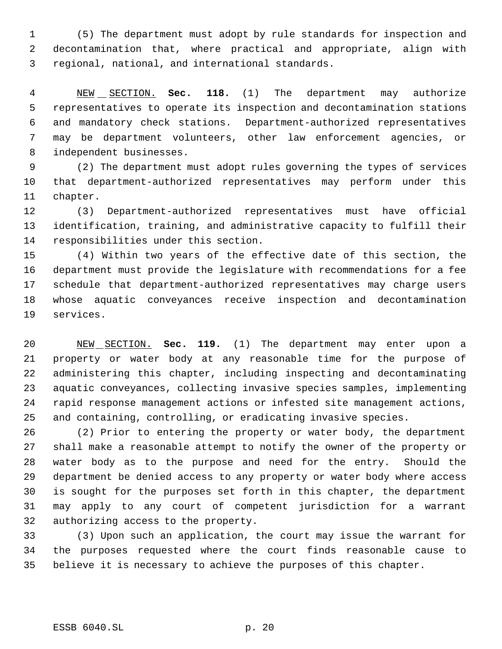(5) The department must adopt by rule standards for inspection and decontamination that, where practical and appropriate, align with regional, national, and international standards.

 NEW SECTION. **Sec. 118.** (1) The department may authorize representatives to operate its inspection and decontamination stations and mandatory check stations. Department-authorized representatives may be department volunteers, other law enforcement agencies, or independent businesses.

 (2) The department must adopt rules governing the types of services that department-authorized representatives may perform under this chapter.

 (3) Department-authorized representatives must have official identification, training, and administrative capacity to fulfill their responsibilities under this section.

 (4) Within two years of the effective date of this section, the department must provide the legislature with recommendations for a fee schedule that department-authorized representatives may charge users whose aquatic conveyances receive inspection and decontamination services.

 NEW SECTION. **Sec. 119.** (1) The department may enter upon a property or water body at any reasonable time for the purpose of administering this chapter, including inspecting and decontaminating aquatic conveyances, collecting invasive species samples, implementing rapid response management actions or infested site management actions, and containing, controlling, or eradicating invasive species.

 (2) Prior to entering the property or water body, the department shall make a reasonable attempt to notify the owner of the property or water body as to the purpose and need for the entry. Should the department be denied access to any property or water body where access is sought for the purposes set forth in this chapter, the department may apply to any court of competent jurisdiction for a warrant authorizing access to the property.

 (3) Upon such an application, the court may issue the warrant for the purposes requested where the court finds reasonable cause to believe it is necessary to achieve the purposes of this chapter.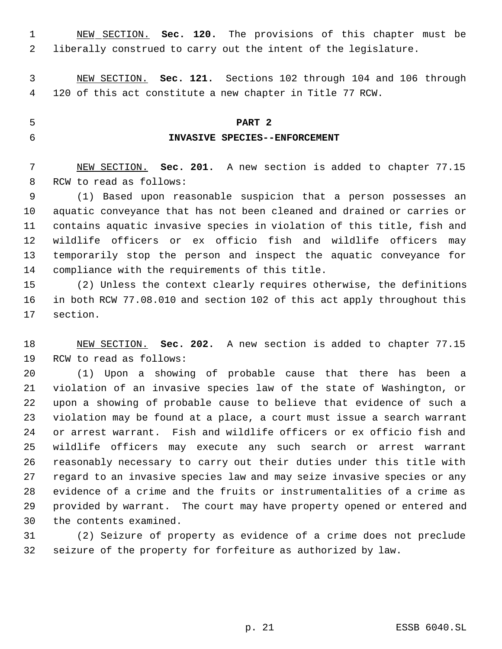NEW SECTION. **Sec. 120.** The provisions of this chapter must be liberally construed to carry out the intent of the legislature.

 NEW SECTION. **Sec. 121.** Sections 102 through 104 and 106 through 120 of this act constitute a new chapter in Title 77 RCW.

## **PART 2**

# **INVASIVE SPECIES--ENFORCEMENT**

 NEW SECTION. **Sec. 201.** A new section is added to chapter 77.15 RCW to read as follows:

 (1) Based upon reasonable suspicion that a person possesses an aquatic conveyance that has not been cleaned and drained or carries or contains aquatic invasive species in violation of this title, fish and wildlife officers or ex officio fish and wildlife officers may temporarily stop the person and inspect the aquatic conveyance for compliance with the requirements of this title.

 (2) Unless the context clearly requires otherwise, the definitions in both RCW 77.08.010 and section 102 of this act apply throughout this section.

 NEW SECTION. **Sec. 202.** A new section is added to chapter 77.15 RCW to read as follows:

 (1) Upon a showing of probable cause that there has been a violation of an invasive species law of the state of Washington, or upon a showing of probable cause to believe that evidence of such a violation may be found at a place, a court must issue a search warrant or arrest warrant. Fish and wildlife officers or ex officio fish and wildlife officers may execute any such search or arrest warrant reasonably necessary to carry out their duties under this title with regard to an invasive species law and may seize invasive species or any evidence of a crime and the fruits or instrumentalities of a crime as provided by warrant. The court may have property opened or entered and the contents examined.

 (2) Seizure of property as evidence of a crime does not preclude seizure of the property for forfeiture as authorized by law.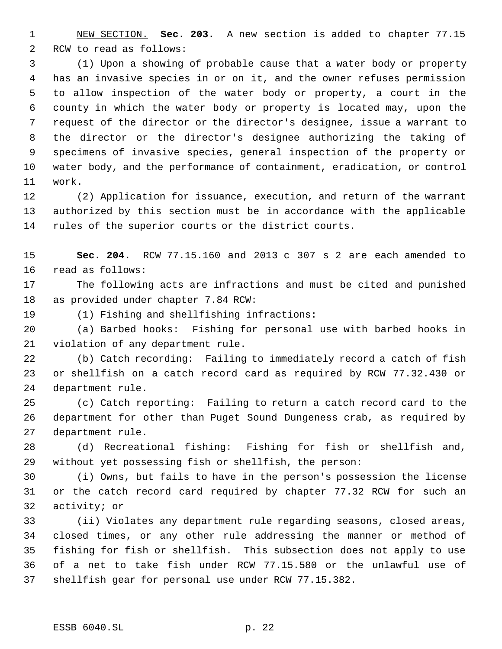NEW SECTION. **Sec. 203.** A new section is added to chapter 77.15 RCW to read as follows:

 (1) Upon a showing of probable cause that a water body or property has an invasive species in or on it, and the owner refuses permission to allow inspection of the water body or property, a court in the county in which the water body or property is located may, upon the request of the director or the director's designee, issue a warrant to the director or the director's designee authorizing the taking of specimens of invasive species, general inspection of the property or water body, and the performance of containment, eradication, or control work.

 (2) Application for issuance, execution, and return of the warrant authorized by this section must be in accordance with the applicable rules of the superior courts or the district courts.

 **Sec. 204.** RCW 77.15.160 and 2013 c 307 s 2 are each amended to read as follows:

 The following acts are infractions and must be cited and punished as provided under chapter 7.84 RCW:

(1) Fishing and shellfishing infractions:

 (a) Barbed hooks: Fishing for personal use with barbed hooks in violation of any department rule.

 (b) Catch recording: Failing to immediately record a catch of fish or shellfish on a catch record card as required by RCW 77.32.430 or department rule.

 (c) Catch reporting: Failing to return a catch record card to the department for other than Puget Sound Dungeness crab, as required by department rule.

 (d) Recreational fishing: Fishing for fish or shellfish and, without yet possessing fish or shellfish, the person:

 (i) Owns, but fails to have in the person's possession the license or the catch record card required by chapter 77.32 RCW for such an activity; or

 (ii) Violates any department rule regarding seasons, closed areas, closed times, or any other rule addressing the manner or method of fishing for fish or shellfish. This subsection does not apply to use of a net to take fish under RCW 77.15.580 or the unlawful use of shellfish gear for personal use under RCW 77.15.382.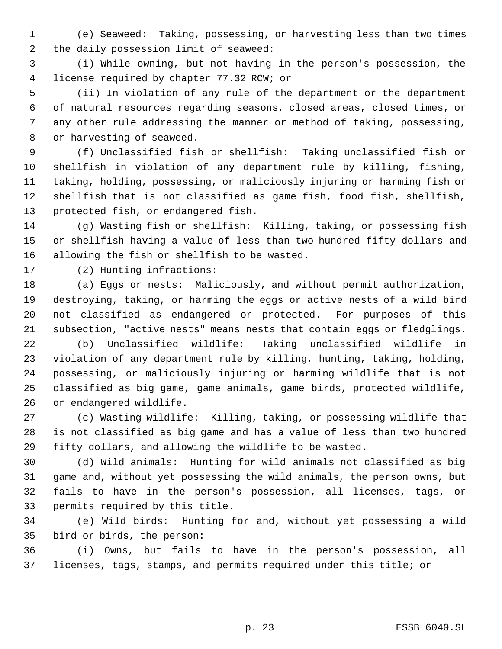(e) Seaweed: Taking, possessing, or harvesting less than two times the daily possession limit of seaweed:

 (i) While owning, but not having in the person's possession, the license required by chapter 77.32 RCW; or

 (ii) In violation of any rule of the department or the department of natural resources regarding seasons, closed areas, closed times, or any other rule addressing the manner or method of taking, possessing, or harvesting of seaweed.

 (f) Unclassified fish or shellfish: Taking unclassified fish or shellfish in violation of any department rule by killing, fishing, taking, holding, possessing, or maliciously injuring or harming fish or shellfish that is not classified as game fish, food fish, shellfish, protected fish, or endangered fish.

 (g) Wasting fish or shellfish: Killing, taking, or possessing fish or shellfish having a value of less than two hundred fifty dollars and allowing the fish or shellfish to be wasted.

(2) Hunting infractions:

 (a) Eggs or nests: Maliciously, and without permit authorization, destroying, taking, or harming the eggs or active nests of a wild bird not classified as endangered or protected. For purposes of this subsection, "active nests" means nests that contain eggs or fledglings.

 (b) Unclassified wildlife: Taking unclassified wildlife in violation of any department rule by killing, hunting, taking, holding, possessing, or maliciously injuring or harming wildlife that is not classified as big game, game animals, game birds, protected wildlife, or endangered wildlife.

 (c) Wasting wildlife: Killing, taking, or possessing wildlife that is not classified as big game and has a value of less than two hundred fifty dollars, and allowing the wildlife to be wasted.

 (d) Wild animals: Hunting for wild animals not classified as big game and, without yet possessing the wild animals, the person owns, but fails to have in the person's possession, all licenses, tags, or permits required by this title.

 (e) Wild birds: Hunting for and, without yet possessing a wild bird or birds, the person:

 (i) Owns, but fails to have in the person's possession, all licenses, tags, stamps, and permits required under this title; or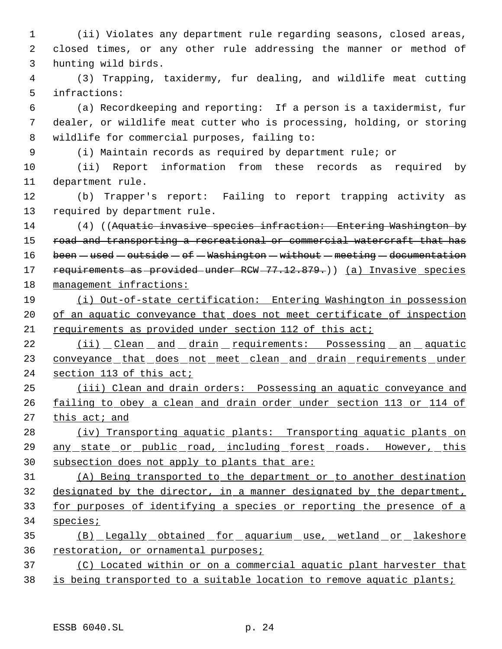(ii) Violates any department rule regarding seasons, closed areas, closed times, or any other rule addressing the manner or method of hunting wild birds.

 (3) Trapping, taxidermy, fur dealing, and wildlife meat cutting infractions:

 (a) Recordkeeping and reporting: If a person is a taxidermist, fur dealer, or wildlife meat cutter who is processing, holding, or storing wildlife for commercial purposes, failing to:

(i) Maintain records as required by department rule; or

 (ii) Report information from these records as required by department rule.

 (b) Trapper's report: Failing to report trapping activity as required by department rule.

14 (4) ((Aquatic invasive species infraction: Entering Washington by 15 road and transporting a recreational or commercial watercraft that has 16 been - used - outside - of - Washington - without - meeting - documentation 17 requirements as provided under RCW 77.12.879.)) (a) Invasive species management infractions:

 (i) Out-of-state certification: Entering Washington in possession 20 of an aquatic conveyance that does not meet certificate of inspection requirements as provided under section 112 of this act;

22 (ii) Clean and drain requirements: Possessing an aquatic 23 conveyance that does not meet clean and drain requirements under section 113 of this act;

 (iii) Clean and drain orders: Possessing an aquatic conveyance and 26 failing to obey a clean and drain order under section 113 or 114 of this act; and

 (iv) Transporting aquatic plants: Transporting aquatic plants on 29 any state or public road, including forest roads. However, this subsection does not apply to plants that are:

 (A) Being transported to the department or to another destination designated by the director, in a manner designated by the department, for purposes of identifying a species or reporting the presence of a species;

 (B) Legally obtained for aquarium use, wetland or lakeshore restoration, or ornamental purposes;

 (C) Located within or on a commercial aquatic plant harvester that 38 is being transported to a suitable location to remove aquatic plants;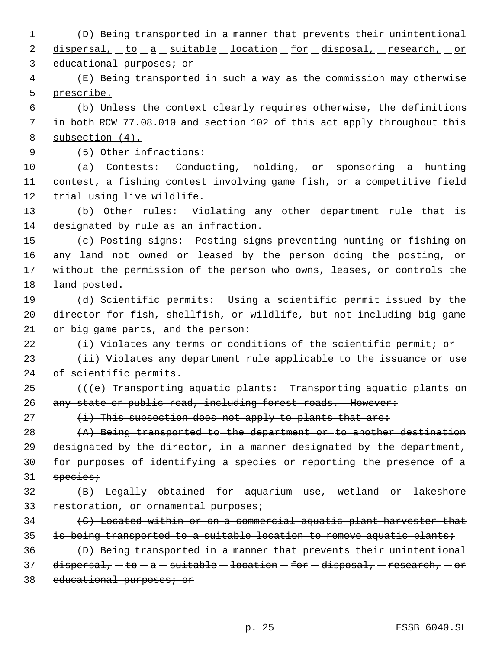(D) Being transported in a manner that prevents their unintentional 2 dispersal, to a suitable location for disposal, research, or educational purposes; or (E) Being transported in such a way as the commission may otherwise prescribe. (b) Unless the context clearly requires otherwise, the definitions in both RCW 77.08.010 and section 102 of this act apply throughout this subsection (4). (5) Other infractions: (a) Contests: Conducting, holding, or sponsoring a hunting contest, a fishing contest involving game fish, or a competitive field trial using live wildlife. (b) Other rules: Violating any other department rule that is designated by rule as an infraction. (c) Posting signs: Posting signs preventing hunting or fishing on any land not owned or leased by the person doing the posting, or without the permission of the person who owns, leases, or controls the land posted. (d) Scientific permits: Using a scientific permit issued by the director for fish, shellfish, or wildlife, but not including big game or big game parts, and the person: (i) Violates any terms or conditions of the scientific permit; or (ii) Violates any department rule applicable to the issuance or use of scientific permits. 25 (((e) Transporting aquatic plants: Transporting aquatic plants on 26 any state or public road, including forest roads. However:  $(i)$  This subsection does not apply to plants that are: 28 (A) Being transported to the department or to another destination 29 designated by the director, in a manner designated by the department, for purposes of identifying a species or reporting the presence of a species;  $\left( B\right)$  - Legally - obtained - for - aquarium - use, - wetland - or - lakeshore 33 restoration, or ornamental purposes; (C) Located within or on a commercial aquatic plant harvester that

35 is being transported to a suitable location to remove aquatic plants;

 (D) Being transported in a manner that prevents their unintentional 37 dispersal,  $-to - a - suitable - location - for - diagonal, - research, - or$ 

38 educational purposes; or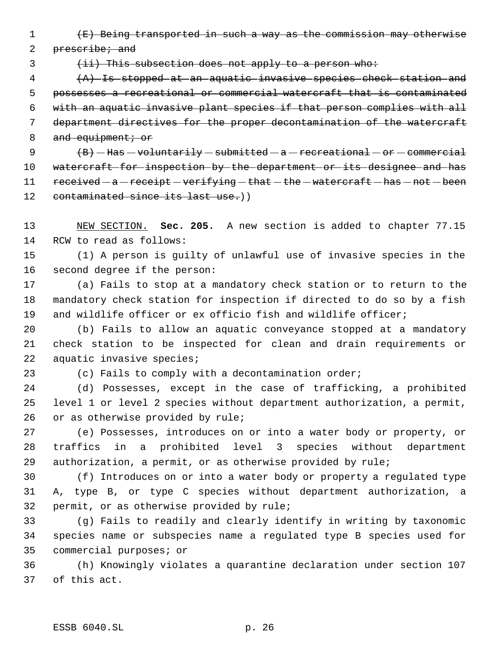(E) Being transported in such a way as the commission may otherwise

2 prescribe; and

3 (ii) This subsection does not apply to a person who:

 (A) Is stopped at an aquatic invasive species check station and possesses a recreational or commercial watercraft that is contaminated with an aquatic invasive plant species if that person complies with all department directives for the proper decontamination of the watercraft 8 and equipment; or

9  $\left(B\right)$  - Has - voluntarily - submitted - a - recreational - or - commercial watercraft for inspection by the department or its designee and has 11 received - a - receipt - verifying - that - the - watercraft - has - not - been 12 contaminated since its last use.))

 NEW SECTION. **Sec. 205.** A new section is added to chapter 77.15 RCW to read as follows:

 (1) A person is guilty of unlawful use of invasive species in the second degree if the person:

 (a) Fails to stop at a mandatory check station or to return to the mandatory check station for inspection if directed to do so by a fish and wildlife officer or ex officio fish and wildlife officer;

 (b) Fails to allow an aquatic conveyance stopped at a mandatory check station to be inspected for clean and drain requirements or aquatic invasive species;

(c) Fails to comply with a decontamination order;

 (d) Possesses, except in the case of trafficking, a prohibited level 1 or level 2 species without department authorization, a permit, or as otherwise provided by rule;

 (e) Possesses, introduces on or into a water body or property, or traffics in a prohibited level 3 species without department authorization, a permit, or as otherwise provided by rule;

 (f) Introduces on or into a water body or property a regulated type A, type B, or type C species without department authorization, a permit, or as otherwise provided by rule;

 (g) Fails to readily and clearly identify in writing by taxonomic species name or subspecies name a regulated type B species used for commercial purposes; or

 (h) Knowingly violates a quarantine declaration under section 107 of this act.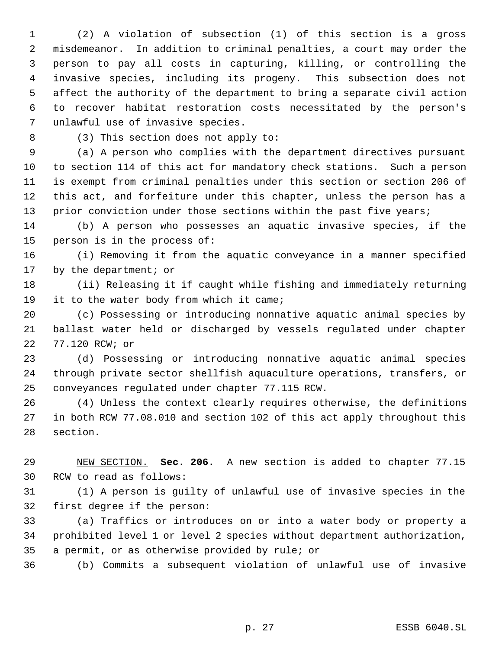(2) A violation of subsection (1) of this section is a gross misdemeanor. In addition to criminal penalties, a court may order the person to pay all costs in capturing, killing, or controlling the invasive species, including its progeny. This subsection does not affect the authority of the department to bring a separate civil action to recover habitat restoration costs necessitated by the person's unlawful use of invasive species.

8 (3) This section does not apply to:

 (a) A person who complies with the department directives pursuant to section 114 of this act for mandatory check stations. Such a person is exempt from criminal penalties under this section or section 206 of this act, and forfeiture under this chapter, unless the person has a 13 prior conviction under those sections within the past five years;

 (b) A person who possesses an aquatic invasive species, if the person is in the process of:

 (i) Removing it from the aquatic conveyance in a manner specified 17 by the department; or

 (ii) Releasing it if caught while fishing and immediately returning it to the water body from which it came;

 (c) Possessing or introducing nonnative aquatic animal species by ballast water held or discharged by vessels regulated under chapter 77.120 RCW; or

 (d) Possessing or introducing nonnative aquatic animal species through private sector shellfish aquaculture operations, transfers, or conveyances regulated under chapter 77.115 RCW.

 (4) Unless the context clearly requires otherwise, the definitions in both RCW 77.08.010 and section 102 of this act apply throughout this section.

 NEW SECTION. **Sec. 206.** A new section is added to chapter 77.15 RCW to read as follows:

 (1) A person is guilty of unlawful use of invasive species in the first degree if the person:

 (a) Traffics or introduces on or into a water body or property a prohibited level 1 or level 2 species without department authorization, a permit, or as otherwise provided by rule; or

(b) Commits a subsequent violation of unlawful use of invasive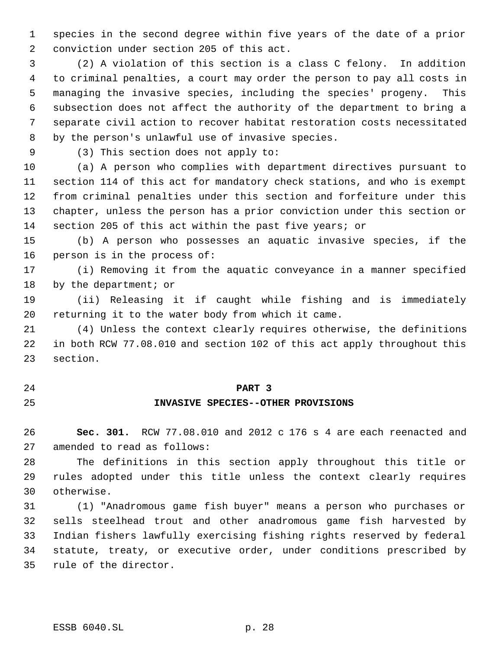species in the second degree within five years of the date of a prior conviction under section 205 of this act.

 (2) A violation of this section is a class C felony. In addition to criminal penalties, a court may order the person to pay all costs in managing the invasive species, including the species' progeny. This subsection does not affect the authority of the department to bring a separate civil action to recover habitat restoration costs necessitated by the person's unlawful use of invasive species.

(3) This section does not apply to:

 (a) A person who complies with department directives pursuant to section 114 of this act for mandatory check stations, and who is exempt from criminal penalties under this section and forfeiture under this chapter, unless the person has a prior conviction under this section or section 205 of this act within the past five years; or

 (b) A person who possesses an aquatic invasive species, if the person is in the process of:

 (i) Removing it from the aquatic conveyance in a manner specified 18 by the department; or

 (ii) Releasing it if caught while fishing and is immediately returning it to the water body from which it came.

 (4) Unless the context clearly requires otherwise, the definitions in both RCW 77.08.010 and section 102 of this act apply throughout this section.

# **PART 3**

# **INVASIVE SPECIES--OTHER PROVISIONS**

 **Sec. 301.** RCW 77.08.010 and 2012 c 176 s 4 are each reenacted and amended to read as follows:

 The definitions in this section apply throughout this title or rules adopted under this title unless the context clearly requires otherwise.

 (1) "Anadromous game fish buyer" means a person who purchases or sells steelhead trout and other anadromous game fish harvested by Indian fishers lawfully exercising fishing rights reserved by federal statute, treaty, or executive order, under conditions prescribed by rule of the director.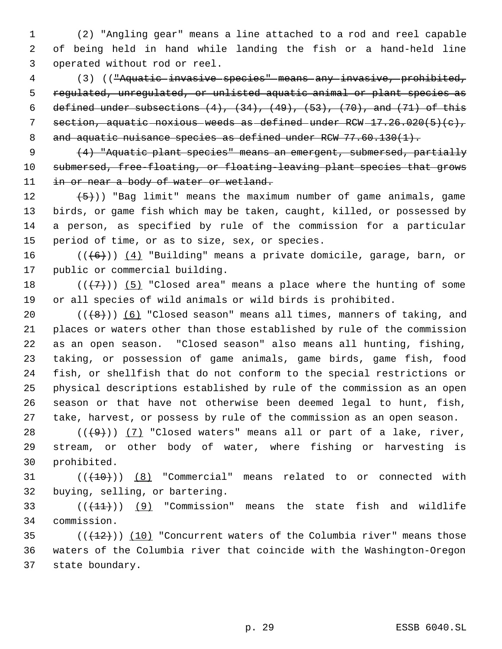(2) "Angling gear" means a line attached to a rod and reel capable of being held in hand while landing the fish or a hand-held line operated without rod or reel.

 (3) (("Aquatic invasive species" means any invasive, prohibited, 5 regulated, unregulated, or unlisted aquatic animal or plant species as 6 defined under subsections  $(4)$ ,  $(34)$ ,  $(49)$ ,  $(53)$ ,  $(70)$ , and  $(71)$  of this 7 section, aquatic noxious weeds as defined under  $RCW - 17.26.020(5)(c)$ , 8 and aquatic nuisance species as defined under RCW 77.60.130(1).

9 (4) "Aquatic plant species" means an emergent, submersed, partially submersed, free-floating, or floating-leaving plant species that grows 11 in or near a body of water or wetland.

 $(5)$ )) "Bag limit" means the maximum number of game animals, game birds, or game fish which may be taken, caught, killed, or possessed by a person, as specified by rule of the commission for a particular period of time, or as to size, sex, or species.

16 ( $(\langle 6 \rangle)$ ) (4) "Building" means a private domicile, garage, barn, or public or commercial building.

18  $((+7))$  (5) "Closed area" means a place where the hunting of some or all species of wild animals or wild birds is prohibited.

 $((+8))$   $(6)$  "Closed season" means all times, manners of taking, and places or waters other than those established by rule of the commission as an open season. "Closed season" also means all hunting, fishing, taking, or possession of game animals, game birds, game fish, food fish, or shellfish that do not conform to the special restrictions or physical descriptions established by rule of the commission as an open season or that have not otherwise been deemed legal to hunt, fish, take, harvest, or possess by rule of the commission as an open season.

28  $((+9))$   $(7)$  "Closed waters" means all or part of a lake, river, stream, or other body of water, where fishing or harvesting is prohibited.

 ( $(\overline{+10})$ ) (8) "Commercial" means related to or connected with buying, selling, or bartering.

33  $((+11))$  (9) "Commission" means the state fish and wildlife commission.

35  $((+12))$   $(10)$  "Concurrent waters of the Columbia river" means those waters of the Columbia river that coincide with the Washington-Oregon state boundary.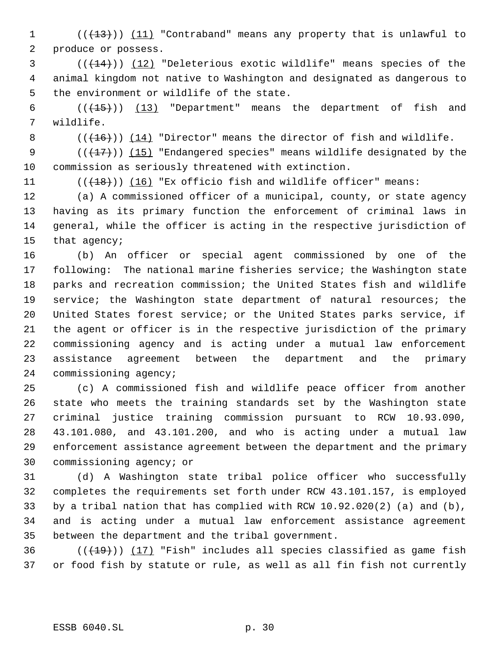1 (( $(13)$ )) (11) "Contraband" means any property that is unlawful to produce or possess.

 $(1, 4)$  ( $(1, 14)$ ) (12) "Deleterious exotic wildlife" means species of the animal kingdom not native to Washington and designated as dangerous to the environment or wildlife of the state.

 $((+15))$   $(13)$  "Department" means the department of fish and wildlife.

8  $((+16))$   $(14)$  "Director" means the director of fish and wildlife.

9  $((+17))$   $(15)$  "Endangered species" means wildlife designated by the commission as seriously threatened with extinction.

11 (( $(18)$ )) (16) "Ex officio fish and wildlife officer" means:

 (a) A commissioned officer of a municipal, county, or state agency having as its primary function the enforcement of criminal laws in general, while the officer is acting in the respective jurisdiction of that agency;

 (b) An officer or special agent commissioned by one of the following: The national marine fisheries service; the Washington state parks and recreation commission; the United States fish and wildlife service; the Washington state department of natural resources; the United States forest service; or the United States parks service, if the agent or officer is in the respective jurisdiction of the primary commissioning agency and is acting under a mutual law enforcement assistance agreement between the department and the primary commissioning agency;

 (c) A commissioned fish and wildlife peace officer from another state who meets the training standards set by the Washington state criminal justice training commission pursuant to RCW 10.93.090, 43.101.080, and 43.101.200, and who is acting under a mutual law enforcement assistance agreement between the department and the primary commissioning agency; or

 (d) A Washington state tribal police officer who successfully completes the requirements set forth under RCW 43.101.157, is employed by a tribal nation that has complied with RCW 10.92.020(2) (a) and (b), and is acting under a mutual law enforcement assistance agreement between the department and the tribal government.

36  $((+19))$  (17) "Fish" includes all species classified as game fish or food fish by statute or rule, as well as all fin fish not currently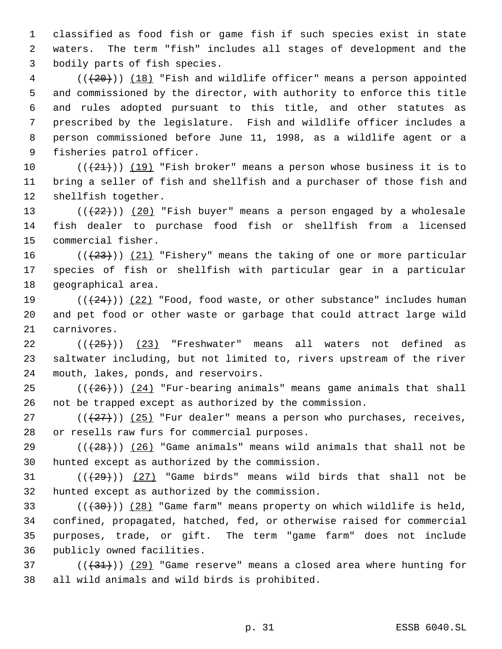classified as food fish or game fish if such species exist in state waters. The term "fish" includes all stages of development and the bodily parts of fish species.

4 (( $(20)$ )) (18) "Fish and wildlife officer" means a person appointed and commissioned by the director, with authority to enforce this title and rules adopted pursuant to this title, and other statutes as prescribed by the legislature. Fish and wildlife officer includes a person commissioned before June 11, 1998, as a wildlife agent or a fisheries patrol officer.

10  $((+21))$   $(19)$  "Fish broker" means a person whose business it is to bring a seller of fish and shellfish and a purchaser of those fish and shellfish together.

13  $((+22))$   $(20)$  "Fish buyer" means a person engaged by a wholesale fish dealer to purchase food fish or shellfish from a licensed commercial fisher.

16 ( $(\frac{23}{1})$  (21) "Fishery" means the taking of one or more particular species of fish or shellfish with particular gear in a particular geographical area.

19  $((+24))$   $(22)$  "Food, food waste, or other substance" includes human and pet food or other waste or garbage that could attract large wild carnivores.

 $((+25))$  (23) "Freshwater" means all waters not defined as saltwater including, but not limited to, rivers upstream of the river mouth, lakes, ponds, and reservoirs.

25  $((+26))$   $(24)$  "Fur-bearing animals" means game animals that shall not be trapped except as authorized by the commission.

27 ( $(\frac{27}{27})$ ) (25) "Fur dealer" means a person who purchases, receives, or resells raw furs for commercial purposes.

29 ( $(\overline{28})$ ) (26) "Game animals" means wild animals that shall not be hunted except as authorized by the commission.

31  $((29))$   $(27)$  "Game birds" means wild birds that shall not be hunted except as authorized by the commission.

 $((+30))$   $(28)$  "Game farm" means property on which wildlife is held, confined, propagated, hatched, fed, or otherwise raised for commercial purposes, trade, or gift. The term "game farm" does not include publicly owned facilities.

37 ( $(\frac{31}{3})$ ) (29) "Game reserve" means a closed area where hunting for all wild animals and wild birds is prohibited.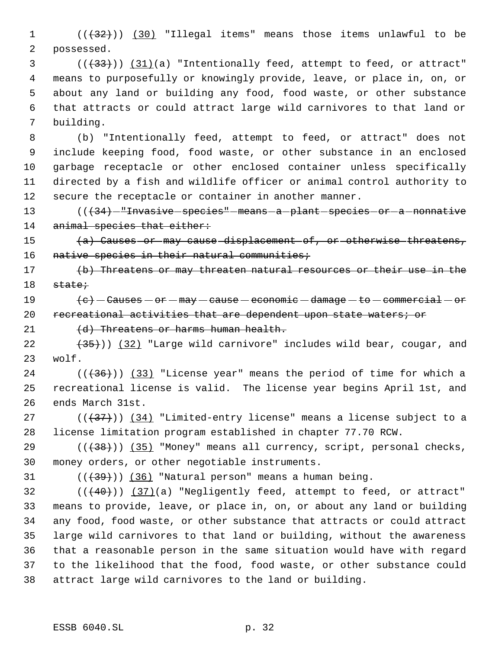1 (( $\left(\frac{32}{1}\right)$ ) (30) "Illegal items" means those items unlawful to be possessed.

3 (( $(33)$ )) (31)(a) "Intentionally feed, attempt to feed, or attract" means to purposefully or knowingly provide, leave, or place in, on, or about any land or building any food, food waste, or other substance that attracts or could attract large wild carnivores to that land or building.

 (b) "Intentionally feed, attempt to feed, or attract" does not include keeping food, food waste, or other substance in an enclosed garbage receptacle or other enclosed container unless specifically directed by a fish and wildlife officer or animal control authority to secure the receptacle or container in another manner.

13 (( $+34$ ) - "Invasive species" - means - a - plant - species - or - a - nonnative 14 animal species that either:

15 (a) Causes or may cause displacement of, or otherwise threatens, 16 native species in their natural communities;

17 (b) Threatens or may threaten natural resources or their use in the state;

 $\left\{e\right\}$  - Causes - or - may - cause - economic - damage - to - commercial - or 20 recreational activities that are dependent upon state waters; or

21 (d) Threatens or harms human health.

 $(35)$ )) (32) "Large wild carnivore" includes wild bear, cougar, and wolf.

 (( $(36)$ )) (33) "License year" means the period of time for which a recreational license is valid. The license year begins April 1st, and ends March 31st.

 $((+37))$   $(34)$  "Limited-entry license" means a license subject to a license limitation program established in chapter 77.70 RCW.

29 (((38))) (35) "Money" means all currency, script, personal checks, money orders, or other negotiable instruments.

31  $((+39))$   $(36)$  "Natural person" means a human being.

 ( $(\overline{40})$ )  $(37)(a)$  "Negligently feed, attempt to feed, or attract" means to provide, leave, or place in, on, or about any land or building any food, food waste, or other substance that attracts or could attract large wild carnivores to that land or building, without the awareness that a reasonable person in the same situation would have with regard to the likelihood that the food, food waste, or other substance could attract large wild carnivores to the land or building.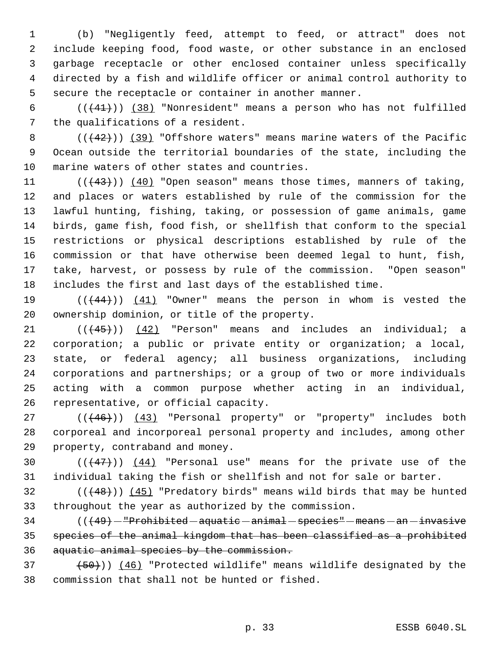(b) "Negligently feed, attempt to feed, or attract" does not include keeping food, food waste, or other substance in an enclosed garbage receptacle or other enclosed container unless specifically directed by a fish and wildlife officer or animal control authority to secure the receptacle or container in another manner.

 $((+41))$   $(38)$  "Nonresident" means a person who has not fulfilled the qualifications of a resident.

8  $((+42))$  (39) "Offshore waters" means marine waters of the Pacific Ocean outside the territorial boundaries of the state, including the marine waters of other states and countries.

 $((43))$   $(40)$  "Open season" means those times, manners of taking, and places or waters established by rule of the commission for the lawful hunting, fishing, taking, or possession of game animals, game birds, game fish, food fish, or shellfish that conform to the special restrictions or physical descriptions established by rule of the commission or that have otherwise been deemed legal to hunt, fish, take, harvest, or possess by rule of the commission. "Open season" includes the first and last days of the established time.

19 (( $(44)$ )) (41) "Owner" means the person in whom is vested the ownership dominion, or title of the property.

 $(1)$  ( $(45)$ )) (42) "Person" means and includes an individual; a corporation; a public or private entity or organization; a local, state, or federal agency; all business organizations, including corporations and partnerships; or a group of two or more individuals acting with a common purpose whether acting in an individual, representative, or official capacity.

27 (( $(46)$ )) (43) "Personal property" or "property" includes both corporeal and incorporeal personal property and includes, among other property, contraband and money.

30  $((+47))$   $(44)$  "Personal use" means for the private use of the individual taking the fish or shellfish and not for sale or barter.

32  $((48))$  ( $(49)$ ) (45) "Predatory birds" means wild birds that may be hunted throughout the year as authorized by the commission.

 ( $(\overline{49})$  - "Prohibited aquatic - animal - species" - means - an - invasive species of the animal kingdom that has been classified as a prohibited aquatic animal species by the commission.

 $(50)$ ))  $(46)$  "Protected wildlife" means wildlife designated by the commission that shall not be hunted or fished.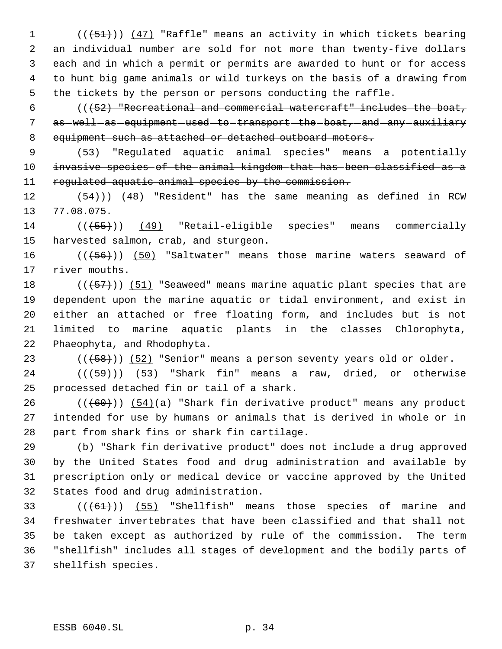1 (( $(451)$ )) (47) "Raffle" means an activity in which tickets bearing an individual number are sold for not more than twenty-five dollars each and in which a permit or permits are awarded to hunt or for access to hunt big game animals or wild turkeys on the basis of a drawing from the tickets by the person or persons conducting the raffle.

 (( $(52)$  "Recreational and commercial watercraft" includes the boat, 7 as -well as equipment used to transport the boat, and any auxiliary 8 equipment such as attached or detached outboard motors.

 $(53)$  - "Regulated - aquatic - animal - species" - means  $-a$  - potentially invasive species of the animal kingdom that has been classified as a 11 regulated aquatic animal species by the commission.

 $(54)$ ) (48) "Resident" has the same meaning as defined in RCW 77.08.075.

14 (( $(\overline{55})$ ) (49) "Retail-eligible species" means commercially harvested salmon, crab, and sturgeon.

16 (((+56)) (50) "Saltwater" means those marine waters seaward of river mouths.

 $((+57))$   $(51)$  "Seaweed" means marine aquatic plant species that are dependent upon the marine aquatic or tidal environment, and exist in either an attached or free floating form, and includes but is not limited to marine aquatic plants in the classes Chlorophyta, Phaeophyta, and Rhodophyta.

23  $((+58))$   $(52)$  "Senior" means a person seventy years old or older.

 ( $(\overline{+59})$ ) (53) "Shark fin" means a raw, dried, or otherwise processed detached fin or tail of a shark.

 (( $(60)$ ))  $(54)$ (a) "Shark fin derivative product" means any product intended for use by humans or animals that is derived in whole or in part from shark fins or shark fin cartilage.

 (b) "Shark fin derivative product" does not include a drug approved by the United States food and drug administration and available by prescription only or medical device or vaccine approved by the United States food and drug administration.

 $((61))$  (55) "Shellfish" means those species of marine and freshwater invertebrates that have been classified and that shall not be taken except as authorized by rule of the commission. The term "shellfish" includes all stages of development and the bodily parts of shellfish species.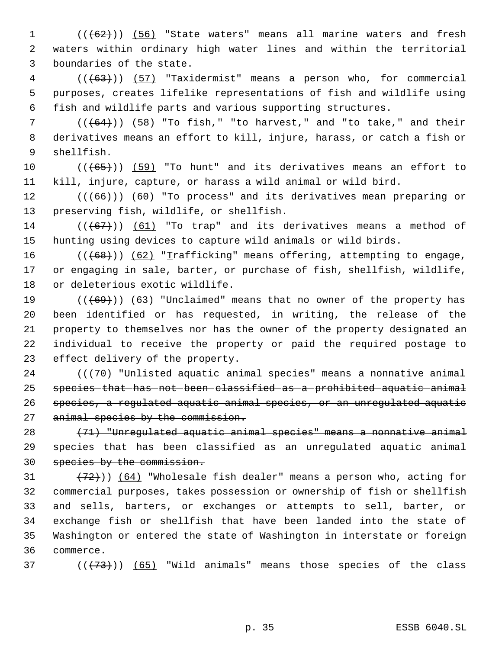1 (((62))) (56) "State waters" means all marine waters and fresh waters within ordinary high water lines and within the territorial boundaries of the state.

 (((63))) (57) "Taxidermist" means a person who, for commercial purposes, creates lifelike representations of fish and wildlife using fish and wildlife parts and various supporting structures.

 ( $(\overline{64})$ ) (58) "To fish," "to harvest," and "to take," and their derivatives means an effort to kill, injure, harass, or catch a fish or shellfish.

 $((\text{(+65+)}))$  (59) "To hunt" and its derivatives means an effort to kill, injure, capture, or harass a wild animal or wild bird.

12 (((66))) (60) "To process" and its derivatives mean preparing or preserving fish, wildlife, or shellfish.

14  $((+67))$   $(61)$  "To trap" and its derivatives means a method of hunting using devices to capture wild animals or wild birds.

 $((+68))$   $(62)$  "Trafficking" means offering, attempting to engage, or engaging in sale, barter, or purchase of fish, shellfish, wildlife, or deleterious exotic wildlife.

 $((+69))$   $(63)$  "Unclaimed" means that no owner of the property has been identified or has requested, in writing, the release of the property to themselves nor has the owner of the property designated an individual to receive the property or paid the required postage to effect delivery of the property.

 (((70) "Unlisted aquatic animal species" means a nonnative animal species that has not been classified as a prohibited aquatic animal species, a regulated aquatic animal species, or an unregulated aquatic 27 animal species by the commission.

 (71) "Unregulated aquatic animal species" means a nonnative animal 29 species-that-has-been-classified-as-an-unregulated-aquatic-animal 30 species by the commission.

 $(72)$ )) (64) "Wholesale fish dealer" means a person who, acting for commercial purposes, takes possession or ownership of fish or shellfish and sells, barters, or exchanges or attempts to sell, barter, or exchange fish or shellfish that have been landed into the state of Washington or entered the state of Washington in interstate or foreign commerce.

( $(\overline{73})$ ) (65) "Wild animals" means those species of the class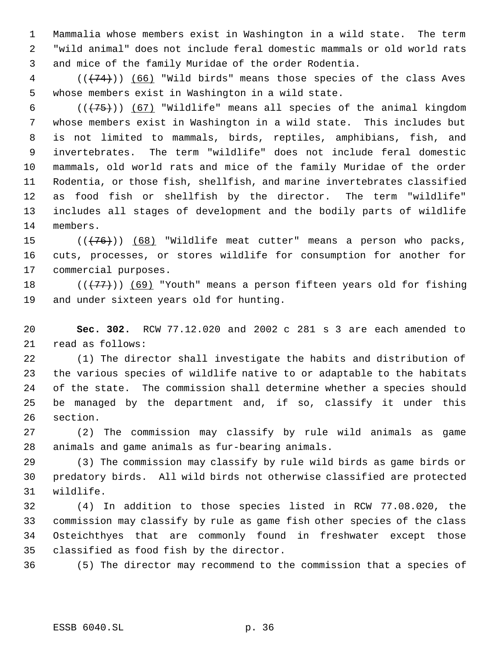Mammalia whose members exist in Washington in a wild state. The term "wild animal" does not include feral domestic mammals or old world rats and mice of the family Muridae of the order Rodentia.

 (( $(74)$ )) (66) "Wild birds" means those species of the class Aves whose members exist in Washington in a wild state.

 $((+75))$  (67) "Wildlife" means all species of the animal kingdom whose members exist in Washington in a wild state. This includes but is not limited to mammals, birds, reptiles, amphibians, fish, and invertebrates. The term "wildlife" does not include feral domestic mammals, old world rats and mice of the family Muridae of the order Rodentia, or those fish, shellfish, and marine invertebrates classified as food fish or shellfish by the director. The term "wildlife" includes all stages of development and the bodily parts of wildlife members.

 $((\langle 76 \rangle) )$  (68) "Wildlife meat cutter" means a person who packs, cuts, processes, or stores wildlife for consumption for another for commercial purposes.

18  $((+77))$  (69) "Youth" means a person fifteen years old for fishing and under sixteen years old for hunting.

 **Sec. 302.** RCW 77.12.020 and 2002 c 281 s 3 are each amended to read as follows:

 (1) The director shall investigate the habits and distribution of the various species of wildlife native to or adaptable to the habitats of the state. The commission shall determine whether a species should be managed by the department and, if so, classify it under this section.

 (2) The commission may classify by rule wild animals as game animals and game animals as fur-bearing animals.

 (3) The commission may classify by rule wild birds as game birds or predatory birds. All wild birds not otherwise classified are protected wildlife.

 (4) In addition to those species listed in RCW 77.08.020, the commission may classify by rule as game fish other species of the class Osteichthyes that are commonly found in freshwater except those classified as food fish by the director.

(5) The director may recommend to the commission that a species of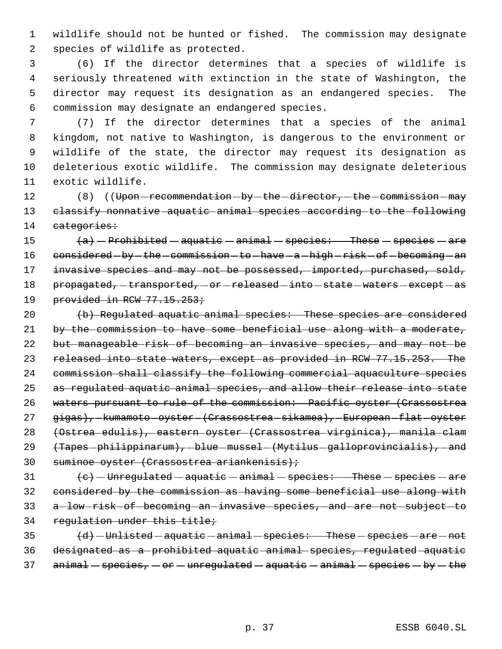1 wildlife should not be hunted or fished. The commission may designate 2 species of wildlife as protected.

 (6) If the director determines that a species of wildlife is seriously threatened with extinction in the state of Washington, the director may request its designation as an endangered species. The commission may designate an endangered species.

 (7) If the director determines that a species of the animal kingdom, not native to Washington, is dangerous to the environment or wildlife of the state, the director may request its designation as deleterious exotic wildlife. The commission may designate deleterious exotic wildlife.

12 (8) ((Upon - recommendation - by - the - director, - the - commission - may 13 classify nonnative aquatic animal species according to the following 14 categories:

15  $(a)$  - Prohibited - aquatic - animal - species: These - species - are 16 considered - by - the - commission - to - have - a - high - risk - of - becoming - an 17 invasive species and may not be possessed, imported, purchased, sold, 18 propagated, -transported, -or -released -into -state -waters -except -as 19 provided in RCW 77.15.253;

20 (b) Regulated aquatic animal species: These species are considered 21 by the commission to have some beneficial use along with a moderate, 22 but manageable risk of becoming an invasive species, and may not be 23 released into state waters, except as provided in RCW 77.15.253. The 24 commission shall classify the following commercial aquaculture species 25 as regulated aquatic animal species, and allow their release into state 26 waters pursuant to rule of the commission: Pacific oyster (Crassostrea 27 gigas), - kumamoto - oyster - (Crassostrea - sikamea), - European - flat - oyster 28 (Ostrea edulis), eastern oyster (Crassostrea virginica), manila clam 29 (Tapes - philippinarum), - blue - mussel - (Mytilus - galloprovincialis), - and 30 suminoe oyster (Crassostrea ariankenisis);

  $\left\{\mathrm{e}\right\}$  - Unregulated - aquatic - animal - species: These - species - are considered by the commission as having some beneficial use along with 33 a-low-risk-of-becoming-an-invasive-species, and are not subject-to regulation under this title;

 $\{d\}$  -Unlisted aquatic animal species: These species are not 36 designated as a prohibited aquatic animal species, regulated aquatic 37 animal - species,  $-$  or  $-$  unregulated  $-$  aquatic  $-$  animal  $-$  species  $-$  by  $-$  the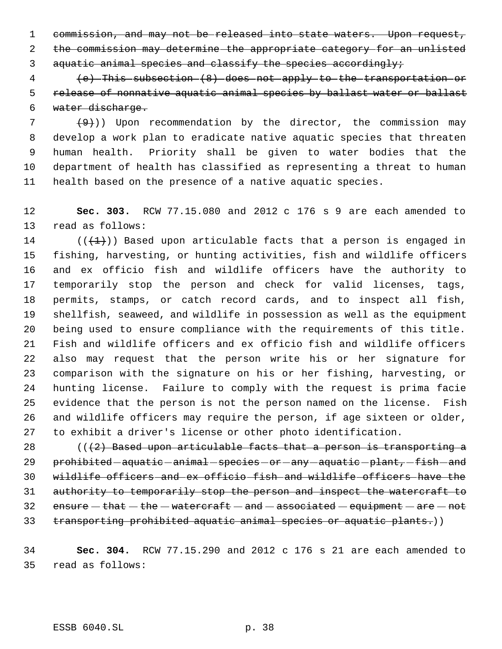1 commission, and may not be released into state waters. Upon request, the commission may determine the appropriate category for an unlisted

aquatic animal species and classify the species accordingly;

 (e) This subsection (8) does not apply to the transportation or release of nonnative aquatic animal species by ballast water or ballast water discharge.

  $(9)$ )) Upon recommendation by the director, the commission may develop a work plan to eradicate native aquatic species that threaten human health. Priority shall be given to water bodies that the department of health has classified as representing a threat to human health based on the presence of a native aquatic species.

 **Sec. 303.** RCW 77.15.080 and 2012 c 176 s 9 are each amended to read as follows:

14 ( $(\overline{+1})$ ) Based upon articulable facts that a person is engaged in fishing, harvesting, or hunting activities, fish and wildlife officers and ex officio fish and wildlife officers have the authority to temporarily stop the person and check for valid licenses, tags, permits, stamps, or catch record cards, and to inspect all fish, shellfish, seaweed, and wildlife in possession as well as the equipment being used to ensure compliance with the requirements of this title. Fish and wildlife officers and ex officio fish and wildlife officers also may request that the person write his or her signature for comparison with the signature on his or her fishing, harvesting, or hunting license. Failure to comply with the request is prima facie evidence that the person is not the person named on the license. Fish and wildlife officers may require the person, if age sixteen or older, to exhibit a driver's license or other photo identification.

28  $(1/2)$  Based upon articulable facts that a person is transporting a 29 prohibited aquatic animal species or any aquatic plant, fish and wildlife officers and ex officio fish and wildlife officers have the authority to temporarily stop the person and inspect the watercraft to 32 ensure  $-\theta$  that  $-\theta$  the  $-\theta$  watercraft  $-\theta$  and  $-\theta$  associated  $-\theta$  equipment  $-\theta$  are  $-\theta$  not 33 transporting prohibited aquatic animal species or aquatic plants.))

 **Sec. 304.** RCW 77.15.290 and 2012 c 176 s 21 are each amended to read as follows:

ESSB 6040.SL p. 38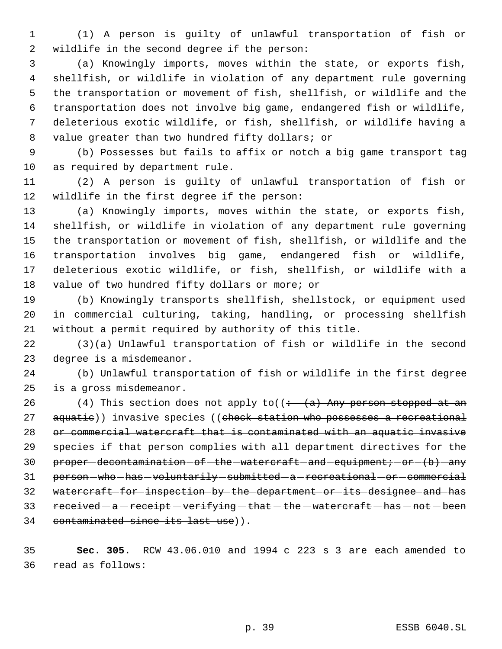(1) A person is guilty of unlawful transportation of fish or wildlife in the second degree if the person:

 (a) Knowingly imports, moves within the state, or exports fish, shellfish, or wildlife in violation of any department rule governing the transportation or movement of fish, shellfish, or wildlife and the transportation does not involve big game, endangered fish or wildlife, deleterious exotic wildlife, or fish, shellfish, or wildlife having a value greater than two hundred fifty dollars; or

 (b) Possesses but fails to affix or notch a big game transport tag as required by department rule.

 (2) A person is guilty of unlawful transportation of fish or wildlife in the first degree if the person:

 (a) Knowingly imports, moves within the state, or exports fish, shellfish, or wildlife in violation of any department rule governing the transportation or movement of fish, shellfish, or wildlife and the transportation involves big game, endangered fish or wildlife, deleterious exotic wildlife, or fish, shellfish, or wildlife with a value of two hundred fifty dollars or more; or

 (b) Knowingly transports shellfish, shellstock, or equipment used in commercial culturing, taking, handling, or processing shellfish without a permit required by authority of this title.

 (3)(a) Unlawful transportation of fish or wildlife in the second degree is a misdemeanor.

 (b) Unlawful transportation of fish or wildlife in the first degree is a gross misdemeanor.

26 (4) This section does not apply to( $\left(-\frac{a}{a}\right)$  Any person stopped at an 27 aquatic)) invasive species ((check station who possesses a recreational or commercial watercraft that is contaminated with an aquatic invasive species if that person complies with all department directives for the 30 proper-decontamination-of-the-watercraft-and-equipment; -or (b) -any 31 person-who-has-voluntarily-submitted-a-recreational-or-commercial watercraft for inspection by the department or its designee and has 33  $rectved - a - receipt - verifying - that - the - watercraft - has - not - been$ 34 contaminated since its last use)).

 **Sec. 305.** RCW 43.06.010 and 1994 c 223 s 3 are each amended to read as follows: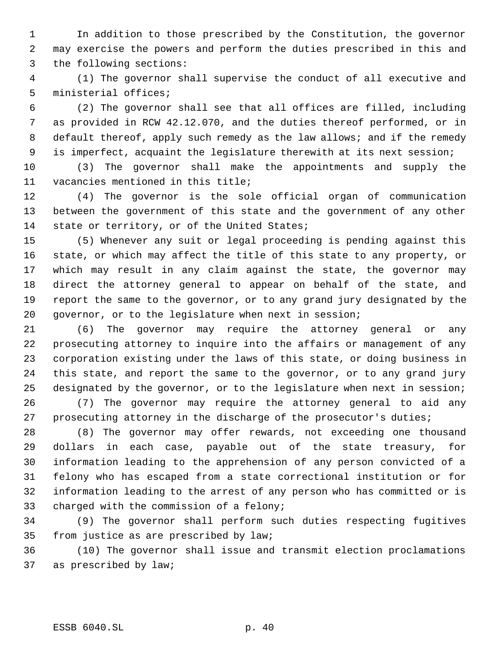In addition to those prescribed by the Constitution, the governor may exercise the powers and perform the duties prescribed in this and the following sections:

 (1) The governor shall supervise the conduct of all executive and ministerial offices;

 (2) The governor shall see that all offices are filled, including as provided in RCW 42.12.070, and the duties thereof performed, or in 8 default thereof, apply such remedy as the law allows; and if the remedy is imperfect, acquaint the legislature therewith at its next session;

 (3) The governor shall make the appointments and supply the vacancies mentioned in this title;

 (4) The governor is the sole official organ of communication between the government of this state and the government of any other 14 state or territory, or of the United States;

 (5) Whenever any suit or legal proceeding is pending against this state, or which may affect the title of this state to any property, or which may result in any claim against the state, the governor may direct the attorney general to appear on behalf of the state, and report the same to the governor, or to any grand jury designated by the governor, or to the legislature when next in session;

 (6) The governor may require the attorney general or any prosecuting attorney to inquire into the affairs or management of any corporation existing under the laws of this state, or doing business in this state, and report the same to the governor, or to any grand jury designated by the governor, or to the legislature when next in session;

 (7) The governor may require the attorney general to aid any prosecuting attorney in the discharge of the prosecutor's duties;

 (8) The governor may offer rewards, not exceeding one thousand dollars in each case, payable out of the state treasury, for information leading to the apprehension of any person convicted of a felony who has escaped from a state correctional institution or for information leading to the arrest of any person who has committed or is charged with the commission of a felony;

 (9) The governor shall perform such duties respecting fugitives from justice as are prescribed by law;

 (10) The governor shall issue and transmit election proclamations as prescribed by law;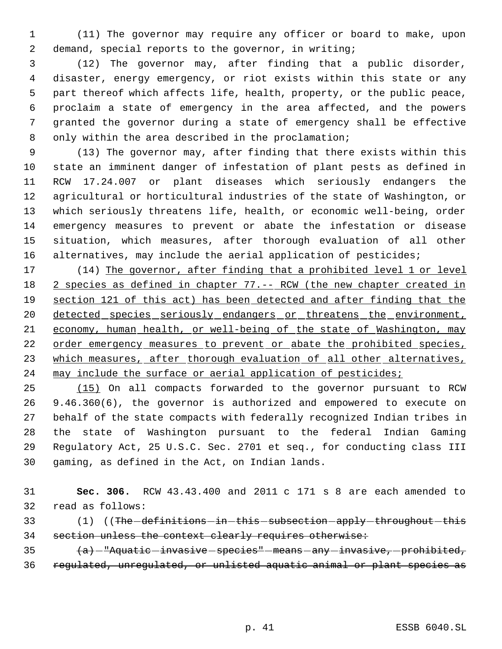(11) The governor may require any officer or board to make, upon demand, special reports to the governor, in writing;

 (12) The governor may, after finding that a public disorder, disaster, energy emergency, or riot exists within this state or any part thereof which affects life, health, property, or the public peace, proclaim a state of emergency in the area affected, and the powers granted the governor during a state of emergency shall be effective only within the area described in the proclamation;

 (13) The governor may, after finding that there exists within this state an imminent danger of infestation of plant pests as defined in RCW 17.24.007 or plant diseases which seriously endangers the agricultural or horticultural industries of the state of Washington, or which seriously threatens life, health, or economic well-being, order emergency measures to prevent or abate the infestation or disease situation, which measures, after thorough evaluation of all other alternatives, may include the aerial application of pesticides;

 (14) The governor, after finding that a prohibited level 1 or level 18 2 species as defined in chapter 77.-- RCW (the new chapter created in section 121 of this act) has been detected and after finding that the 20 detected species seriously endangers or threatens the environment, economy, human health, or well-being of the state of Washington, may 22 order emergency measures to prevent or abate the prohibited species, 23 which measures, after thorough evaluation of all other alternatives, 24 may include the surface or aerial application of pesticides;

 (15) On all compacts forwarded to the governor pursuant to RCW 9.46.360(6), the governor is authorized and empowered to execute on behalf of the state compacts with federally recognized Indian tribes in the state of Washington pursuant to the federal Indian Gaming Regulatory Act, 25 U.S.C. Sec. 2701 et seq., for conducting class III gaming, as defined in the Act, on Indian lands.

 **Sec. 306.** RCW 43.43.400 and 2011 c 171 s 8 are each amended to read as follows:

33 (1) ((The definitions - in - this - subsection - apply - throughout - this section unless the context clearly requires otherwise:

 $\{a\}$  -"Aquatic invasive species" means - any -invasive, prohibited, regulated, unregulated, or unlisted aquatic animal or plant species as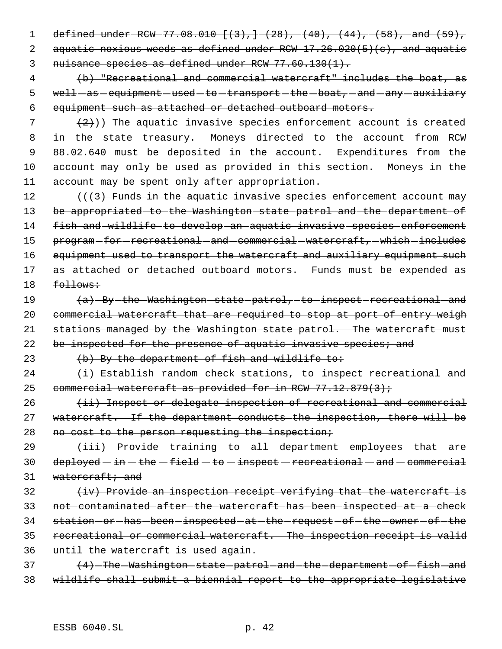1 defined under RCW 77.08.010 [(3), ] (28), (40), (44), (58), and (59), 2 aquatic noxious weeds as defined under RCW 17.26.020(5)(c), and aquatic 3 nuisance species as defined under RCW 77.60.130(1).

 4 (b) "Recreational and commercial watercraft" includes the boat, as 5 well-as-equipment-used-to-transport-the-boat, and any auxiliary 6 equipment such as attached or detached outboard motors.

 $(2)$ )) The aquatic invasive species enforcement account is created in the state treasury. Moneys directed to the account from RCW 88.02.640 must be deposited in the account. Expenditures from the account may only be used as provided in this section. Moneys in the account may be spent only after appropriation.

12  $((3)$  Funds in the aquatic invasive species enforcement account may 13 be appropriated to the Washington state patrol and the department of 14 fish and wildlife to develop an aquatic invasive species enforcement 15 program-for-recreational-and-commercial-watercraft,-which-includes 16 equipment used to transport the watercraft and auxiliary equipment such 17 as attached or detached outboard motors. Funds must be expended as  $18$  follows:

19 (a) By the Washington state patrol, to inspect recreational and 20 commercial watercraft that are required to stop at port of entry weigh 21 stations managed by the Washington state patrol. The watercraft must 22 be inspected for the presence of aquatic invasive species; and

23  $(b)$  By the department of fish and wildlife to:

24 (i) Establish random check stations, to inspect recreational and 25 commercial watercraft as provided for in RCW  $77.12.879(3)$ ;

26 (ii) Inspect or delegate inspection of recreational and commercial 27 watercraft. If the department conducts the inspection, there will be 28 no cost to the person requesting the inspection;

 $29$   $(iii)$  Provide - training - to - all - department - employees - that - are  $30$  deployed  $-$  in  $-$  the  $-$  field  $-$  to  $-$  inspect  $-$  recreational  $-$  and  $-$  commercial 31 watercraft; and

  $\leftrightarrow$   $\leftrightarrow$  Provide an inspection receipt verifying that the watercraft is not contaminated after the watercraft has been inspected at a check 34 station - or - has - been - inspected - at - the - request - of - the - owner - of - the recreational or commercial watercraft. The inspection receipt is valid until the watercraft is used again.

37 (4) The Washington state patrol and the department of fish and 38 wildlife shall submit a biennial report to the appropriate legislative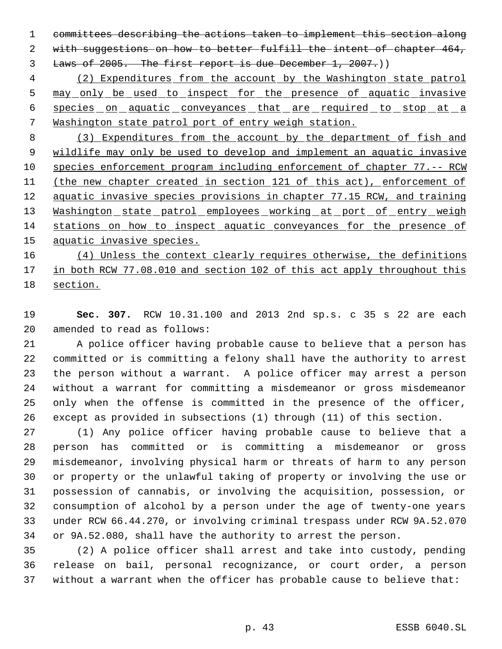committees describing the actions taken to implement this section along with suggestions on how to better fulfill the intent of chapter 464, 3 Laws of 2005. The first report is due December 1, 2007.)

 (2) Expenditures from the account by the Washington state patrol 5 may only be used to inspect for the presence of aquatic invasive 6 species on aquatic conveyances that are required to stop at a Washington state patrol port of entry weigh station.

 (3) Expenditures from the account by the department of fish and wildlife may only be used to develop and implement an aquatic invasive species enforcement program including enforcement of chapter 77.-- RCW (the new chapter created in section 121 of this act), enforcement of 12 aquatic invasive species provisions in chapter 77.15 RCW, and training 13 Washington state patrol employees working at port of entry weigh stations on how to inspect aquatic conveyances for the presence of 15 aquatic invasive species.

16 (4) Unless the context clearly requires otherwise, the definitions in both RCW 77.08.010 and section 102 of this act apply throughout this section.

 **Sec. 307.** RCW 10.31.100 and 2013 2nd sp.s. c 35 s 22 are each amended to read as follows:

 A police officer having probable cause to believe that a person has committed or is committing a felony shall have the authority to arrest the person without a warrant. A police officer may arrest a person without a warrant for committing a misdemeanor or gross misdemeanor only when the offense is committed in the presence of the officer, except as provided in subsections (1) through (11) of this section.

 (1) Any police officer having probable cause to believe that a person has committed or is committing a misdemeanor or gross misdemeanor, involving physical harm or threats of harm to any person or property or the unlawful taking of property or involving the use or possession of cannabis, or involving the acquisition, possession, or consumption of alcohol by a person under the age of twenty-one years under RCW 66.44.270, or involving criminal trespass under RCW 9A.52.070 or 9A.52.080, shall have the authority to arrest the person.

 (2) A police officer shall arrest and take into custody, pending release on bail, personal recognizance, or court order, a person without a warrant when the officer has probable cause to believe that: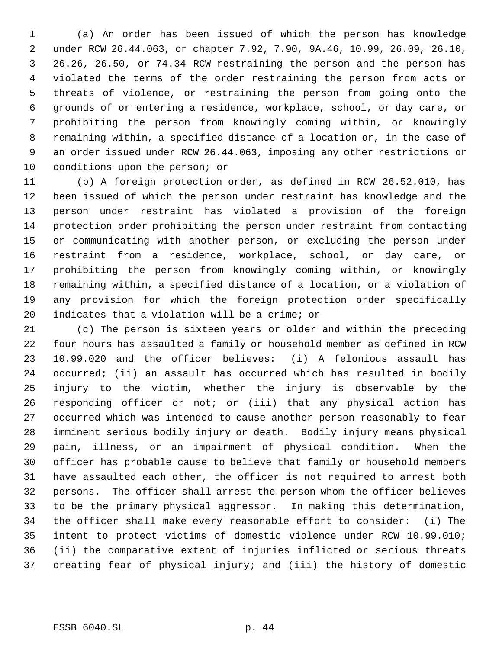(a) An order has been issued of which the person has knowledge under RCW 26.44.063, or chapter 7.92, 7.90, 9A.46, 10.99, 26.09, 26.10, 26.26, 26.50, or 74.34 RCW restraining the person and the person has violated the terms of the order restraining the person from acts or threats of violence, or restraining the person from going onto the grounds of or entering a residence, workplace, school, or day care, or prohibiting the person from knowingly coming within, or knowingly remaining within, a specified distance of a location or, in the case of an order issued under RCW 26.44.063, imposing any other restrictions or conditions upon the person; or

 (b) A foreign protection order, as defined in RCW 26.52.010, has been issued of which the person under restraint has knowledge and the person under restraint has violated a provision of the foreign protection order prohibiting the person under restraint from contacting or communicating with another person, or excluding the person under restraint from a residence, workplace, school, or day care, or prohibiting the person from knowingly coming within, or knowingly remaining within, a specified distance of a location, or a violation of any provision for which the foreign protection order specifically indicates that a violation will be a crime; or

 (c) The person is sixteen years or older and within the preceding four hours has assaulted a family or household member as defined in RCW 10.99.020 and the officer believes: (i) A felonious assault has occurred; (ii) an assault has occurred which has resulted in bodily injury to the victim, whether the injury is observable by the responding officer or not; or (iii) that any physical action has occurred which was intended to cause another person reasonably to fear imminent serious bodily injury or death. Bodily injury means physical pain, illness, or an impairment of physical condition. When the officer has probable cause to believe that family or household members have assaulted each other, the officer is not required to arrest both persons. The officer shall arrest the person whom the officer believes to be the primary physical aggressor. In making this determination, the officer shall make every reasonable effort to consider: (i) The intent to protect victims of domestic violence under RCW 10.99.010; (ii) the comparative extent of injuries inflicted or serious threats creating fear of physical injury; and (iii) the history of domestic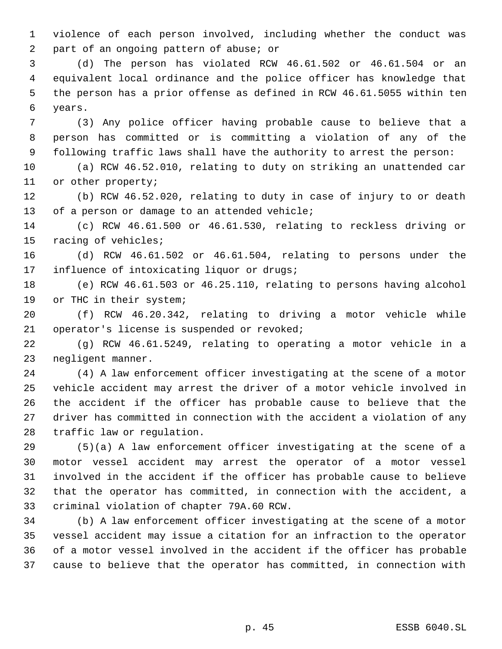violence of each person involved, including whether the conduct was part of an ongoing pattern of abuse; or

 (d) The person has violated RCW 46.61.502 or 46.61.504 or an equivalent local ordinance and the police officer has knowledge that the person has a prior offense as defined in RCW 46.61.5055 within ten years.

 (3) Any police officer having probable cause to believe that a person has committed or is committing a violation of any of the following traffic laws shall have the authority to arrest the person:

 (a) RCW 46.52.010, relating to duty on striking an unattended car or other property;

 (b) RCW 46.52.020, relating to duty in case of injury to or death of a person or damage to an attended vehicle;

 (c) RCW 46.61.500 or 46.61.530, relating to reckless driving or racing of vehicles;

 (d) RCW 46.61.502 or 46.61.504, relating to persons under the influence of intoxicating liquor or drugs;

 (e) RCW 46.61.503 or 46.25.110, relating to persons having alcohol 19 or THC in their system;

 (f) RCW 46.20.342, relating to driving a motor vehicle while operator's license is suspended or revoked;

 (g) RCW 46.61.5249, relating to operating a motor vehicle in a negligent manner.

 (4) A law enforcement officer investigating at the scene of a motor vehicle accident may arrest the driver of a motor vehicle involved in the accident if the officer has probable cause to believe that the driver has committed in connection with the accident a violation of any traffic law or regulation.

 (5)(a) A law enforcement officer investigating at the scene of a motor vessel accident may arrest the operator of a motor vessel involved in the accident if the officer has probable cause to believe that the operator has committed, in connection with the accident, a criminal violation of chapter 79A.60 RCW.

 (b) A law enforcement officer investigating at the scene of a motor vessel accident may issue a citation for an infraction to the operator of a motor vessel involved in the accident if the officer has probable cause to believe that the operator has committed, in connection with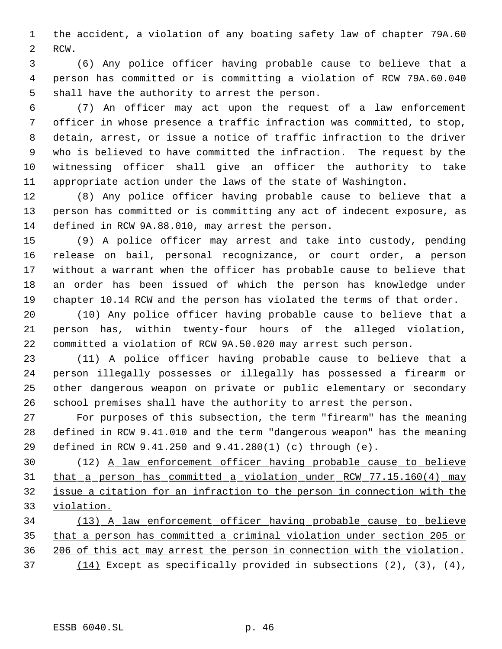the accident, a violation of any boating safety law of chapter 79A.60 RCW.

 (6) Any police officer having probable cause to believe that a person has committed or is committing a violation of RCW 79A.60.040 shall have the authority to arrest the person.

 (7) An officer may act upon the request of a law enforcement officer in whose presence a traffic infraction was committed, to stop, detain, arrest, or issue a notice of traffic infraction to the driver who is believed to have committed the infraction. The request by the witnessing officer shall give an officer the authority to take appropriate action under the laws of the state of Washington.

 (8) Any police officer having probable cause to believe that a person has committed or is committing any act of indecent exposure, as defined in RCW 9A.88.010, may arrest the person.

 (9) A police officer may arrest and take into custody, pending release on bail, personal recognizance, or court order, a person without a warrant when the officer has probable cause to believe that an order has been issued of which the person has knowledge under chapter 10.14 RCW and the person has violated the terms of that order.

 (10) Any police officer having probable cause to believe that a person has, within twenty-four hours of the alleged violation, committed a violation of RCW 9A.50.020 may arrest such person.

 (11) A police officer having probable cause to believe that a person illegally possesses or illegally has possessed a firearm or other dangerous weapon on private or public elementary or secondary school premises shall have the authority to arrest the person.

 For purposes of this subsection, the term "firearm" has the meaning defined in RCW 9.41.010 and the term "dangerous weapon" has the meaning defined in RCW 9.41.250 and 9.41.280(1) (c) through (e).

 (12) A law enforcement officer having probable cause to believe that a person has committed a violation under RCW 77.15.160(4) may issue a citation for an infraction to the person in connection with the violation.

 (13) A law enforcement officer having probable cause to believe that a person has committed a criminal violation under section 205 or 206 of this act may arrest the person in connection with the violation. (14) Except as specifically provided in subsections (2), (3), (4),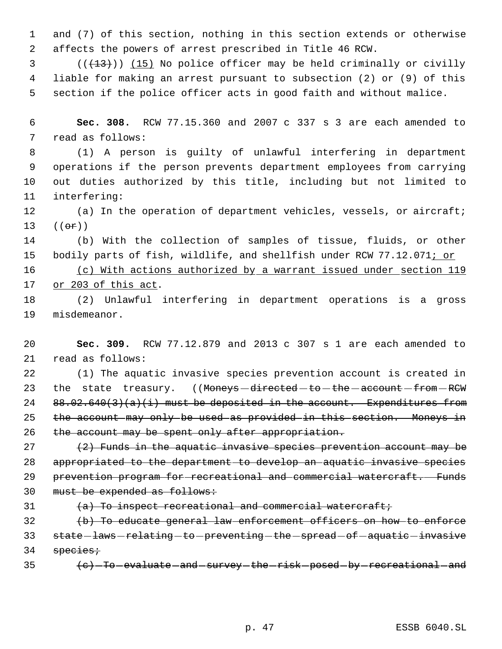and (7) of this section, nothing in this section extends or otherwise affects the powers of arrest prescribed in Title 46 RCW.

 (( $(13)$ )) (15) No police officer may be held criminally or civilly liable for making an arrest pursuant to subsection (2) or (9) of this section if the police officer acts in good faith and without malice.

 **Sec. 308.** RCW 77.15.360 and 2007 c 337 s 3 are each amended to read as follows:

 (1) A person is guilty of unlawful interfering in department operations if the person prevents department employees from carrying out duties authorized by this title, including but not limited to interfering:

 (a) In the operation of department vehicles, vessels, or aircraft;  $((e^e)^n)$ 

 (b) With the collection of samples of tissue, fluids, or other 15 bodily parts of fish, wildlife, and shellfish under RCW 77.12.071; or

 (c) With actions authorized by a warrant issued under section 119 or 203 of this act.

 (2) Unlawful interfering in department operations is a gross misdemeanor.

 **Sec. 309.** RCW 77.12.879 and 2013 c 307 s 1 are each amended to read as follows:

 (1) The aquatic invasive species prevention account is created in 23 the state treasury. ((Moneys-directed-to-the-account-from-RCW 24 88.02.640(3)(a)(i) must be deposited in the account. Expenditures from 25 the account may only be used as provided in this section. Moneys in 26 the account may be spent only after appropriation.

 $(2)$  Funds in the aquatic invasive species prevention account may be appropriated to the department to develop an aquatic invasive species 29 prevention program for recreational and commercial watercraft. Funds 30 must be expended as follows:

 $(31 \t (-a)$  To inspect recreational and commercial watercraft;

 (b) To educate general law enforcement officers on how to enforce 33 state-laws-relating-to-preventing-the-spread-of-aquatic-invasive 34 species;

35 (e) To evaluate and survey the risk posed by recreational and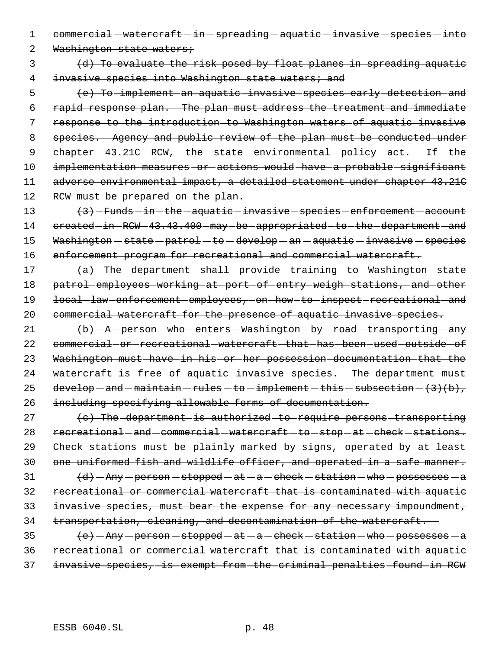1 commercial - watercraft - in - spreading - aquatic - invasive - species - into

2 Washington state waters;

 3 (d) To evaluate the risk posed by float planes in spreading aquatic 4 invasive species into Washington state waters; and

 5 (e) To implement an aquatic invasive species early detection and 6 rapid response plan. The plan must address the treatment and immediate 7 response to the introduction to Washington waters of aquatic invasive 8 species. Agency and public review of the plan must be conducted under 9 chapter - 43.21C - RCW, - the - state - environmental - policy - act. If - the 10 implementation measures or actions would have a probable significant 11 adverse environmental impact, a detailed statement under chapter 43.21C 12 RCW must be prepared on the plan.

13  $\left\{\left\{\right\}\right\}$  - Funds - in - the - aquatic - invasive - species - enforcement - account 14 created-in-RCW-43.43.400-may-be-appropriated-to-the-department-and 15 Washington - state - patrol - to - develop - an - aquatic - invasive - species 16 enforcement program for recreational and commercial watercraft.

17 (a) The department - shall - provide - training - to - Washington - state 18 patrol employees working at port of entry weigh stations, and other 19 local-law-enforcement-employees, on-how-to-inspect-recreational-and 20 commercial watercraft for the presence of aquatic invasive species.

 $21$   $\left\{\frac{\mathbf{b}}{\mathbf{b}}\right\}$  - A - person - who - enters - Washington - by - road - transporting - any 22 commercial or recreational watercraft that has been used outside of 23 Washington must have in his or her possession documentation that the 24 watercraft is free of aquatic invasive species. The department must 25 develop  $-$  and  $-$  maintain  $-$  rules  $-$  to  $-$  implement  $-$  this  $-$  subsection  $-$  (3)(b), 26 including specifying allowable forms of documentation.

27 (c) The department is authorized to require persons transporting 28 recreational - and - commercial - watercraft - to - stop - at - check - stations. Check stations must be plainly marked by signs, operated by at least one uniformed fish and wildlife officer, and operated in a safe manner.  $(d)$  -Any -person -stopped -at -a -check -station -who -possesses -a recreational or commercial watercraft that is contaminated with aquatic invasive species, must bear the expense for any necessary impoundment, transportation, cleaning, and decontamination of the watercraft.

 $\left\{\mathrm{e}\right\}-\mathrm{Any}\,$  - person - stopped - at - a - check - station - who - possesses - a 36 recreational or commercial watercraft that is contaminated with aquatic 37 invasive species, is exempt from the criminal penalties found in RCW